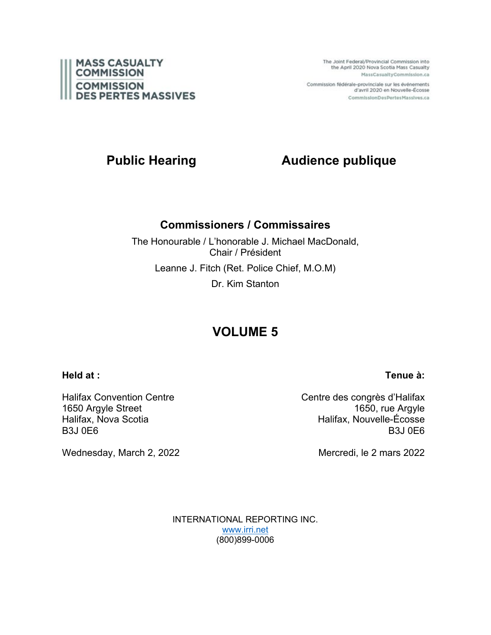

The Joint Federal/Provincial Commission into the April 2020 Nova Scotia Mass Casualty MassCasualtyCommission.ca

Commission fédérale-provinciale sur les événements d'avril 2020 en Nouvelle-Écosse CommissionDesPertesMassives.ca

# **Public Hearing Audience publique**

# **Commissioners / Commissaires**

The Honourable / L'honorable J. Michael MacDonald, Chair / Président Leanne J. Fitch (Ret. Police Chief, M.O.M) Dr. Kim Stanton

# **VOLUME 5**

## **Held at :**

Halifax Convention Centre 1650 Argyle Street Halifax, Nova Scotia B3J 0E6

Wednesday, March 2, 2022

Centre des congrès d'Halifax 1650, rue Argyle Halifax, Nouvelle-Écosse B3J 0E6

Mercredi, le 2 mars 2022

INTERNATIONAL REPORTING INC. [www.irri.net](http://www.irri.net/) (800)899-0006

# **Tenue à:**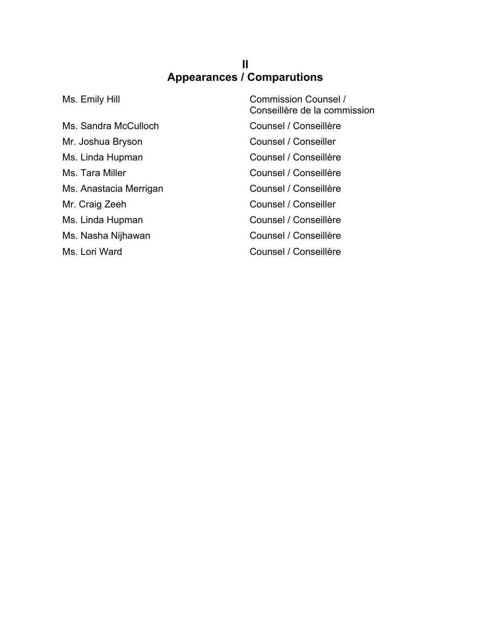# **II Appearances / Comparutions**

Ms. Sandra McCulloch Counsel / Conseillère Mr. Joshua Bryson Counsel / Conseiller Ms. Linda Hupman Counsel / Conseillère Ms. Tara Miller Counsel / Conseillère Ms. Anastacia Merrigan Counsel / Conseillère Mr. Craig Zeeh Counsel / Conseiller Ms. Linda Hupman Counsel / Conseillère Ms. Nasha Nijhawan Counsel / Conseillère Ms. Lori Ward **Counsel / Conseillère** 

Ms. Emily Hill **Music Commission Counsel /** Conseillère de la commission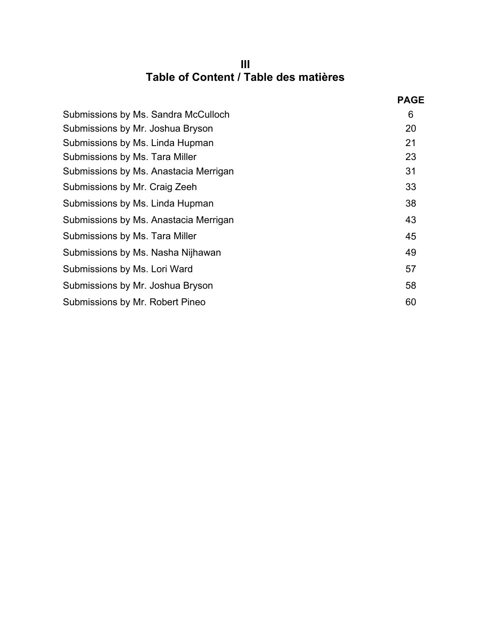# **III Table of Content / Table des matières**

|                                       | <b>PAGE</b> |
|---------------------------------------|-------------|
| Submissions by Ms. Sandra McCulloch   | 6           |
| Submissions by Mr. Joshua Bryson      | 20          |
| Submissions by Ms. Linda Hupman       | 21          |
| Submissions by Ms. Tara Miller        | 23          |
| Submissions by Ms. Anastacia Merrigan | 31          |
| Submissions by Mr. Craig Zeeh         | 33          |
| Submissions by Ms. Linda Hupman       | 38          |
| Submissions by Ms. Anastacia Merrigan | 43          |
| Submissions by Ms. Tara Miller        | 45          |
| Submissions by Ms. Nasha Nijhawan     | 49          |
| Submissions by Ms. Lori Ward          | 57          |
| Submissions by Mr. Joshua Bryson      | 58          |
| Submissions by Mr. Robert Pineo       | 60          |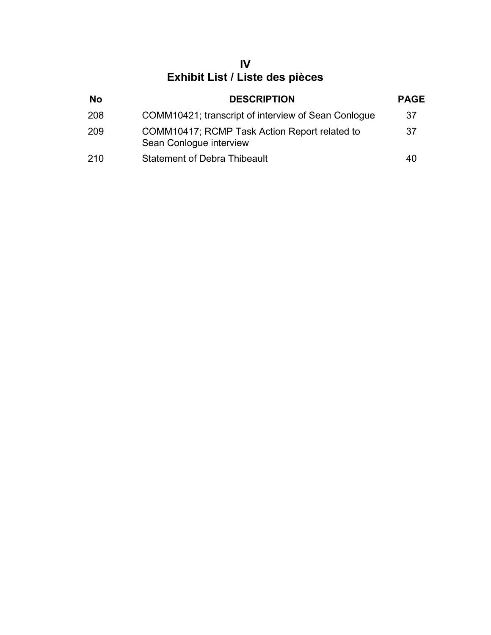# **IV Exhibit List / Liste des pièces**

| <b>No</b> | <b>DESCRIPTION</b>                                                       | <b>PAGE</b> |
|-----------|--------------------------------------------------------------------------|-------------|
| 208       | COMM10421; transcript of interview of Sean Conlogue                      | 37          |
| 209       | COMM10417; RCMP Task Action Report related to<br>Sean Conlogue interview | 37          |
| 210       | <b>Statement of Debra Thibeault</b>                                      | 40          |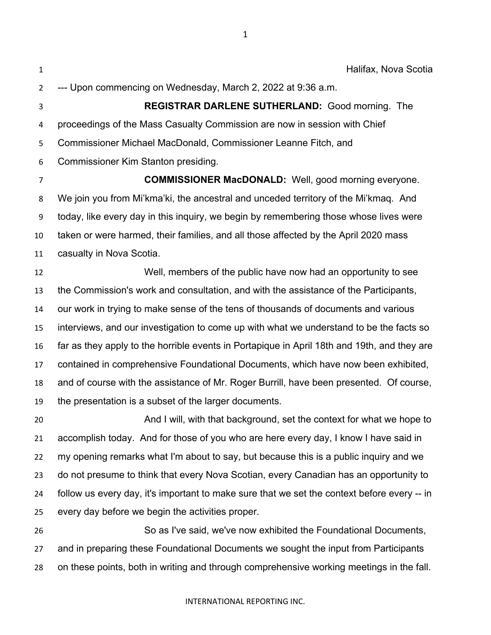Halifax, Nova Scotia --- Upon commencing on Wednesday, March 2, 2022 at 9:36 a.m.

 **REGISTRAR DARLENE SUTHERLAND:** Good morning. The proceedings of the Mass Casualty Commission are now in session with Chief Commissioner Michael MacDonald, Commissioner Leanne Fitch, and Commissioner Kim Stanton presiding.

 **COMMISSIONER MacDONALD:** Well, good morning everyone. We join you from Mi'kma'ki, the ancestral and unceded territory of the Mi'kmaq. And today, like every day in this inquiry, we begin by remembering those whose lives were taken or were harmed, their families, and all those affected by the April 2020 mass casualty in Nova Scotia.

 Well, members of the public have now had an opportunity to see the Commission's work and consultation, and with the assistance of the Participants, our work in trying to make sense of the tens of thousands of documents and various interviews, and our investigation to come up with what we understand to be the facts so far as they apply to the horrible events in Portapique in April 18th and 19th, and they are contained in comprehensive Foundational Documents, which have now been exhibited, and of course with the assistance of Mr. Roger Burrill, have been presented. Of course, the presentation is a subset of the larger documents.

 And I will, with that background, set the context for what we hope to accomplish today. And for those of you who are here every day, I know I have said in my opening remarks what I'm about to say, but because this is a public inquiry and we do not presume to think that every Nova Scotian, every Canadian has an opportunity to follow us every day, it's important to make sure that we set the context before every -- in every day before we begin the activities proper.

 So as I've said, we've now exhibited the Foundational Documents, and in preparing these Foundational Documents we sought the input from Participants on these points, both in writing and through comprehensive working meetings in the fall.

#### INTERNATIONAL REPORTING INC.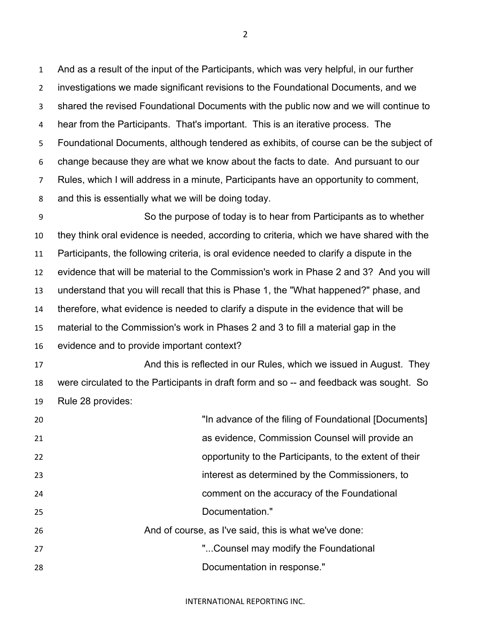And as a result of the input of the Participants, which was very helpful, in our further investigations we made significant revisions to the Foundational Documents, and we shared the revised Foundational Documents with the public now and we will continue to hear from the Participants. That's important. This is an iterative process. The Foundational Documents, although tendered as exhibits, of course can be the subject of change because they are what we know about the facts to date. And pursuant to our Rules, which I will address in a minute, Participants have an opportunity to comment, and this is essentially what we will be doing today.

 So the purpose of today is to hear from Participants as to whether they think oral evidence is needed, according to criteria, which we have shared with the Participants, the following criteria, is oral evidence needed to clarify a dispute in the evidence that will be material to the Commission's work in Phase 2 and 3? And you will understand that you will recall that this is Phase 1, the "What happened?" phase, and therefore, what evidence is needed to clarify a dispute in the evidence that will be material to the Commission's work in Phases 2 and 3 to fill a material gap in the evidence and to provide important context?

**And this is reflected in our Rules, which we issued in August. They** They were circulated to the Participants in draft form and so -- and feedback was sought. So Rule 28 provides:

| 20 | "In advance of the filing of Foundational [Documents]   |
|----|---------------------------------------------------------|
| 21 | as evidence, Commission Counsel will provide an         |
| 22 | opportunity to the Participants, to the extent of their |
| 23 | interest as determined by the Commissioners, to         |
| 24 | comment on the accuracy of the Foundational             |
| 25 | Documentation."                                         |
| 26 | And of course, as I've said, this is what we've done:   |
| 27 | "Counsel may modify the Foundational                    |
| 28 | Documentation in response."                             |

INTERNATIONAL REPORTING INC.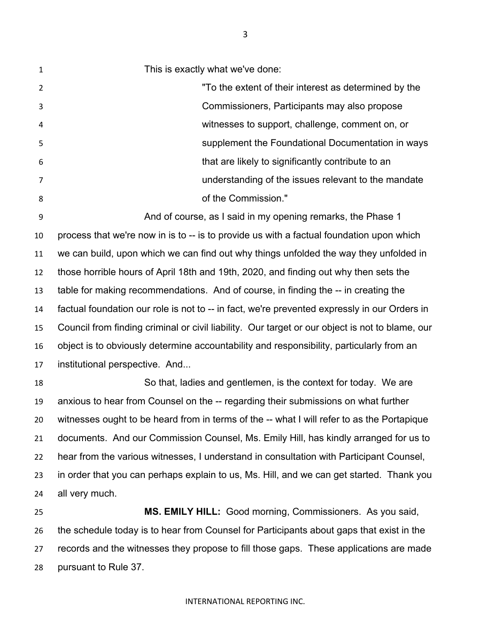This is exactly what we've done: "To the extent of their interest as determined by the Commissioners, Participants may also propose witnesses to support, challenge, comment on, or supplement the Foundational Documentation in ways that are likely to significantly contribute to an understanding of the issues relevant to the mandate And of course, as I said in my opening remarks, the Phase 1

 process that we're now in is to -- is to provide us with a factual foundation upon which we can build, upon which we can find out why things unfolded the way they unfolded in those horrible hours of April 18th and 19th, 2020, and finding out why then sets the table for making recommendations. And of course, in finding the -- in creating the factual foundation our role is not to -- in fact, we're prevented expressly in our Orders in Council from finding criminal or civil liability. Our target or our object is not to blame, our object is to obviously determine accountability and responsibility, particularly from an institutional perspective. And...

 So that, ladies and gentlemen, is the context for today. We are anxious to hear from Counsel on the -- regarding their submissions on what further witnesses ought to be heard from in terms of the -- what I will refer to as the Portapique documents. And our Commission Counsel, Ms. Emily Hill, has kindly arranged for us to hear from the various witnesses, I understand in consultation with Participant Counsel, in order that you can perhaps explain to us, Ms. Hill, and we can get started. Thank you all very much.

 **MS. EMILY HILL:** Good morning, Commissioners. As you said, the schedule today is to hear from Counsel for Participants about gaps that exist in the records and the witnesses they propose to fill those gaps. These applications are made pursuant to Rule 37.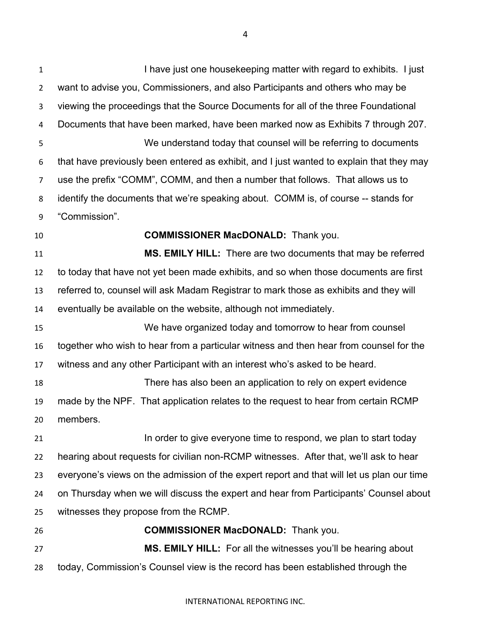I have just one housekeeping matter with regard to exhibits. I just want to advise you, Commissioners, and also Participants and others who may be viewing the proceedings that the Source Documents for all of the three Foundational Documents that have been marked, have been marked now as Exhibits 7 through 207. We understand today that counsel will be referring to documents that have previously been entered as exhibit, and I just wanted to explain that they may use the prefix "COMM", COMM, and then a number that follows. That allows us to identify the documents that we're speaking about. COMM is, of course -- stands for "Commission". **COMMISSIONER MacDONALD:** Thank you. **MS. EMILY HILL:** There are two documents that may be referred to today that have not yet been made exhibits, and so when those documents are first referred to, counsel will ask Madam Registrar to mark those as exhibits and they will eventually be available on the website, although not immediately. We have organized today and tomorrow to hear from counsel together who wish to hear from a particular witness and then hear from counsel for the witness and any other Participant with an interest who's asked to be heard. There has also been an application to rely on expert evidence made by the NPF. That application relates to the request to hear from certain RCMP members. **In order to give everyone time to respond, we plan to start today**  hearing about requests for civilian non-RCMP witnesses. After that, we'll ask to hear everyone's views on the admission of the expert report and that will let us plan our time on Thursday when we will discuss the expert and hear from Participants' Counsel about witnesses they propose from the RCMP. **COMMISSIONER MacDONALD:** Thank you. **MS. EMILY HILL:** For all the witnesses you'll be hearing about today, Commission's Counsel view is the record has been established through the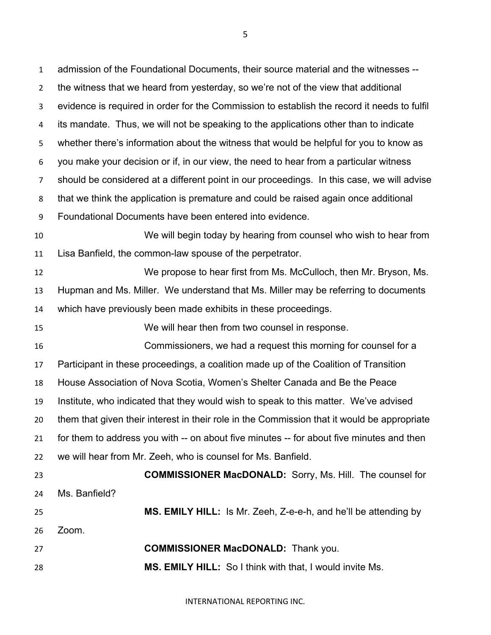admission of the Foundational Documents, their source material and the witnesses -- the witness that we heard from yesterday, so we're not of the view that additional evidence is required in order for the Commission to establish the record it needs to fulfil its mandate. Thus, we will not be speaking to the applications other than to indicate whether there's information about the witness that would be helpful for you to know as you make your decision or if, in our view, the need to hear from a particular witness should be considered at a different point in our proceedings. In this case, we will advise that we think the application is premature and could be raised again once additional Foundational Documents have been entered into evidence. We will begin today by hearing from counsel who wish to hear from Lisa Banfield, the common-law spouse of the perpetrator. We propose to hear first from Ms. McCulloch, then Mr. Bryson, Ms. Hupman and Ms. Miller. We understand that Ms. Miller may be referring to documents which have previously been made exhibits in these proceedings. We will hear then from two counsel in response. Commissioners, we had a request this morning for counsel for a Participant in these proceedings, a coalition made up of the Coalition of Transition House Association of Nova Scotia, Women's Shelter Canada and Be the Peace Institute, who indicated that they would wish to speak to this matter. We've advised them that given their interest in their role in the Commission that it would be appropriate for them to address you with -- on about five minutes -- for about five minutes and then we will hear from Mr. Zeeh, who is counsel for Ms. Banfield. **COMMISSIONER MacDONALD:** Sorry, Ms. Hill. The counsel for Ms. Banfield? **MS. EMILY HILL:** Is Mr. Zeeh, Z-e-e-h, and he'll be attending by Zoom. **COMMISSIONER MacDONALD:** Thank you. **MS. EMILY HILL:** So I think with that, I would invite Ms.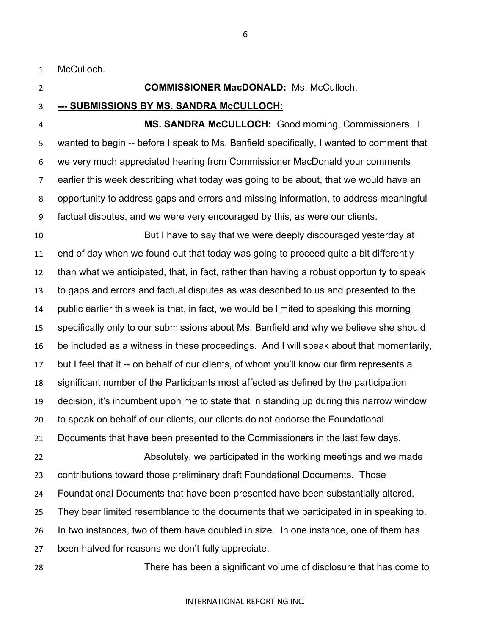McCulloch.

# **COMMISSIONER MacDONALD:** Ms. McCulloch.

**--- SUBMISSIONS BY MS. SANDRA McCULLOCH:**

 **MS. SANDRA McCULLOCH:** Good morning, Commissioners. I wanted to begin -- before I speak to Ms. Banfield specifically, I wanted to comment that we very much appreciated hearing from Commissioner MacDonald your comments earlier this week describing what today was going to be about, that we would have an opportunity to address gaps and errors and missing information, to address meaningful factual disputes, and we were very encouraged by this, as were our clients.

 But I have to say that we were deeply discouraged yesterday at end of day when we found out that today was going to proceed quite a bit differently than what we anticipated, that, in fact, rather than having a robust opportunity to speak to gaps and errors and factual disputes as was described to us and presented to the public earlier this week is that, in fact, we would be limited to speaking this morning specifically only to our submissions about Ms. Banfield and why we believe she should be included as a witness in these proceedings. And I will speak about that momentarily, but I feel that it -- on behalf of our clients, of whom you'll know our firm represents a significant number of the Participants most affected as defined by the participation decision, it's incumbent upon me to state that in standing up during this narrow window to speak on behalf of our clients, our clients do not endorse the Foundational Documents that have been presented to the Commissioners in the last few days. Absolutely, we participated in the working meetings and we made contributions toward those preliminary draft Foundational Documents. Those Foundational Documents that have been presented have been substantially altered. They bear limited resemblance to the documents that we participated in in speaking to. In two instances, two of them have doubled in size. In one instance, one of them has been halved for reasons we don't fully appreciate.

There has been a significant volume of disclosure that has come to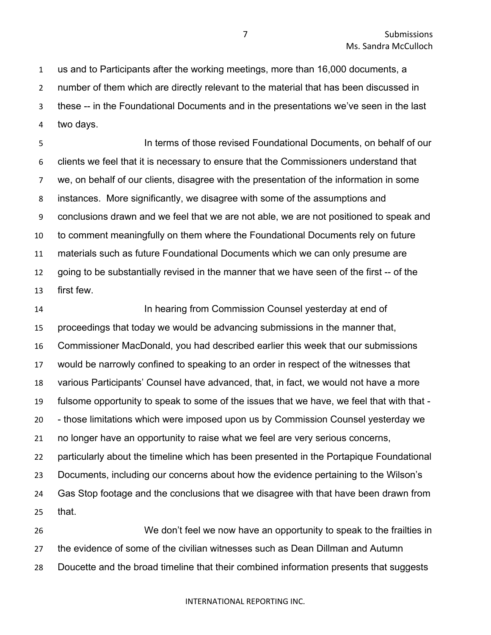us and to Participants after the working meetings, more than 16,000 documents, a number of them which are directly relevant to the material that has been discussed in these -- in the Foundational Documents and in the presentations we've seen in the last two days.

 In terms of those revised Foundational Documents, on behalf of our clients we feel that it is necessary to ensure that the Commissioners understand that we, on behalf of our clients, disagree with the presentation of the information in some instances. More significantly, we disagree with some of the assumptions and conclusions drawn and we feel that we are not able, we are not positioned to speak and to comment meaningfully on them where the Foundational Documents rely on future materials such as future Foundational Documents which we can only presume are going to be substantially revised in the manner that we have seen of the first -- of the first few.

 In hearing from Commission Counsel yesterday at end of proceedings that today we would be advancing submissions in the manner that, Commissioner MacDonald, you had described earlier this week that our submissions would be narrowly confined to speaking to an order in respect of the witnesses that various Participants' Counsel have advanced, that, in fact, we would not have a more fulsome opportunity to speak to some of the issues that we have, we feel that with that - - those limitations which were imposed upon us by Commission Counsel yesterday we no longer have an opportunity to raise what we feel are very serious concerns, particularly about the timeline which has been presented in the Portapique Foundational Documents, including our concerns about how the evidence pertaining to the Wilson's Gas Stop footage and the conclusions that we disagree with that have been drawn from that. We don't feel we now have an opportunity to speak to the frailties in

 the evidence of some of the civilian witnesses such as Dean Dillman and Autumn Doucette and the broad timeline that their combined information presents that suggests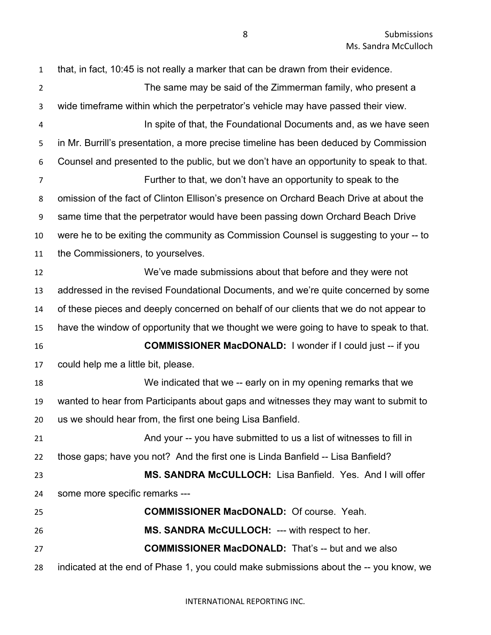that, in fact, 10:45 is not really a marker that can be drawn from their evidence. The same may be said of the Zimmerman family, who present a wide timeframe within which the perpetrator's vehicle may have passed their view. In spite of that, the Foundational Documents and, as we have seen in Mr. Burrill's presentation, a more precise timeline has been deduced by Commission Counsel and presented to the public, but we don't have an opportunity to speak to that. Further to that, we don't have an opportunity to speak to the omission of the fact of Clinton Ellison's presence on Orchard Beach Drive at about the same time that the perpetrator would have been passing down Orchard Beach Drive were he to be exiting the community as Commission Counsel is suggesting to your -- to the Commissioners, to yourselves. We've made submissions about that before and they were not addressed in the revised Foundational Documents, and we're quite concerned by some of these pieces and deeply concerned on behalf of our clients that we do not appear to have the window of opportunity that we thought we were going to have to speak to that. **COMMISSIONER MacDONALD:** I wonder if I could just -- if you could help me a little bit, please. We indicated that we -- early on in my opening remarks that we wanted to hear from Participants about gaps and witnesses they may want to submit to us we should hear from, the first one being Lisa Banfield. And your -- you have submitted to us a list of witnesses to fill in those gaps; have you not? And the first one is Linda Banfield -- Lisa Banfield? **MS. SANDRA McCULLOCH:** Lisa Banfield. Yes. And I will offer some more specific remarks --- **COMMISSIONER MacDONALD:** Of course. Yeah. **MS. SANDRA McCULLOCH:** --- with respect to her. **COMMISSIONER MacDONALD:** That's -- but and we also indicated at the end of Phase 1, you could make submissions about the -- you know, we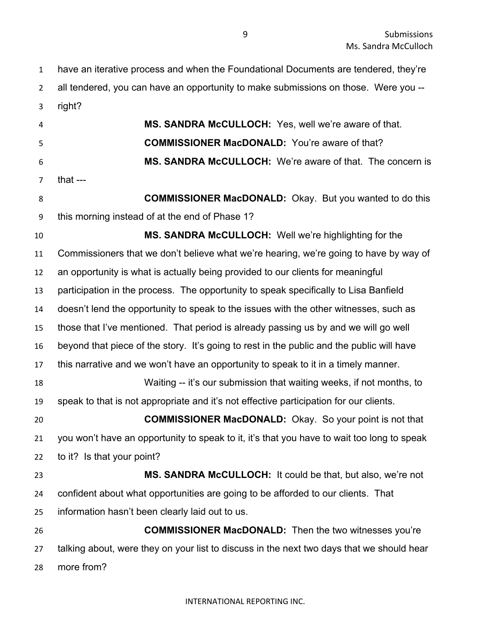have an iterative process and when the Foundational Documents are tendered, they're all tendered, you can have an opportunity to make submissions on those. Were you -- right? **MS. SANDRA McCULLOCH:** Yes, well we're aware of that. **COMMISSIONER MacDONALD:** You're aware of that? **MS. SANDRA McCULLOCH:** We're aware of that. The concern is that --- **COMMISSIONER MacDONALD:** Okay. But you wanted to do this this morning instead of at the end of Phase 1? **MS. SANDRA McCULLOCH:** Well we're highlighting for the Commissioners that we don't believe what we're hearing, we're going to have by way of an opportunity is what is actually being provided to our clients for meaningful participation in the process. The opportunity to speak specifically to Lisa Banfield doesn't lend the opportunity to speak to the issues with the other witnesses, such as those that I've mentioned. That period is already passing us by and we will go well beyond that piece of the story. It's going to rest in the public and the public will have this narrative and we won't have an opportunity to speak to it in a timely manner. Waiting -- it's our submission that waiting weeks, if not months, to speak to that is not appropriate and it's not effective participation for our clients. **COMMISSIONER MacDONALD:** Okay. So your point is not that you won't have an opportunity to speak to it, it's that you have to wait too long to speak to it? Is that your point? **MS. SANDRA McCULLOCH:** It could be that, but also, we're not confident about what opportunities are going to be afforded to our clients. That information hasn't been clearly laid out to us. **COMMISSIONER MacDONALD:** Then the two witnesses you're talking about, were they on your list to discuss in the next two days that we should hear more from?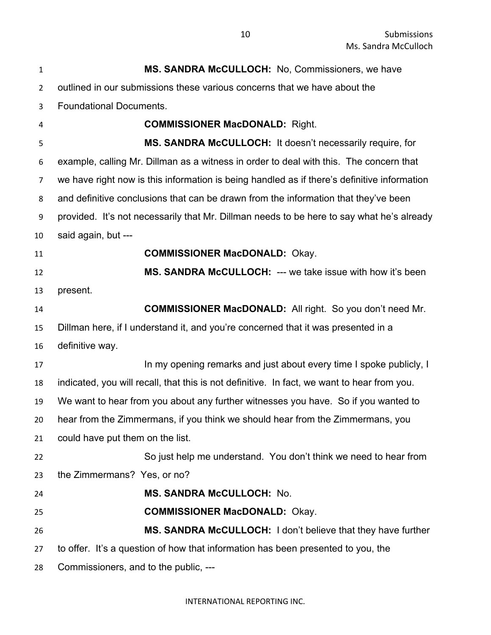| $\mathbf{1}$   | <b>MS. SANDRA McCULLOCH:</b> No, Commissioners, we have                                     |
|----------------|---------------------------------------------------------------------------------------------|
| $\overline{2}$ | outlined in our submissions these various concerns that we have about the                   |
| 3              | <b>Foundational Documents.</b>                                                              |
| 4              | <b>COMMISSIONER MacDONALD: Right.</b>                                                       |
| 5              | MS. SANDRA McCULLOCH: It doesn't necessarily require, for                                   |
| 6              | example, calling Mr. Dillman as a witness in order to deal with this. The concern that      |
| 7              | we have right now is this information is being handled as if there's definitive information |
| 8              | and definitive conclusions that can be drawn from the information that they've been         |
| 9              | provided. It's not necessarily that Mr. Dillman needs to be here to say what he's already   |
| 10             | said again, but ---                                                                         |
| 11             | <b>COMMISSIONER MacDONALD: Okay.</b>                                                        |
| 12             | MS. SANDRA McCULLOCH: --- we take issue with how it's been                                  |
| 13             | present.                                                                                    |
| 14             | <b>COMMISSIONER MacDONALD:</b> All right. So you don't need Mr.                             |
| 15             | Dillman here, if I understand it, and you're concerned that it was presented in a           |
| 16             | definitive way.                                                                             |
| 17             | In my opening remarks and just about every time I spoke publicly, I                         |
| 18             | indicated, you will recall, that this is not definitive. In fact, we want to hear from you. |
| 19             | We want to hear from you about any further witnesses you have. So if you wanted to          |
| 20             | hear from the Zimmermans, if you think we should hear from the Zimmermans, you              |
| 21             | could have put them on the list.                                                            |
| 22             | So just help me understand. You don't think we need to hear from                            |
| 23             | the Zimmermans? Yes, or no?                                                                 |
| 24             | MS. SANDRA McCULLOCH: No.                                                                   |
| 25             | <b>COMMISSIONER MacDONALD: Okay.</b>                                                        |
| 26             | MS. SANDRA McCULLOCH: I don't believe that they have further                                |
| 27             | to offer. It's a question of how that information has been presented to you, the            |
| 28             | Commissioners, and to the public, ---                                                       |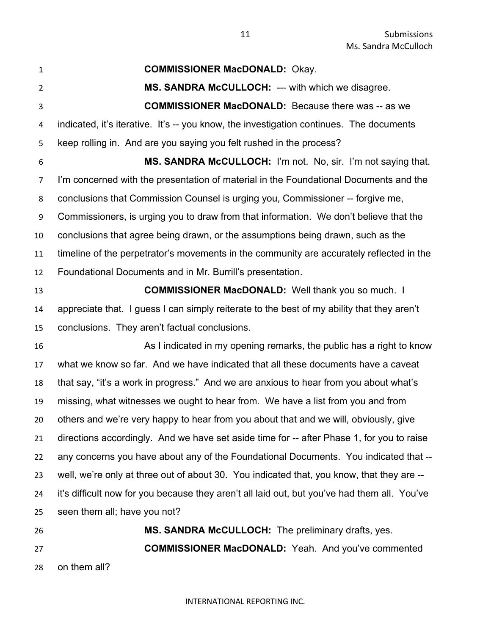**COMMISSIONER MacDONALD:** Okay. **MS. SANDRA McCULLOCH:** --- with which we disagree. **COMMISSIONER MacDONALD:** Because there was -- as we indicated, it's iterative. It's -- you know, the investigation continues. The documents keep rolling in. And are you saying you felt rushed in the process? **MS. SANDRA McCULLOCH:** I'm not. No, sir. I'm not saying that. I'm concerned with the presentation of material in the Foundational Documents and the conclusions that Commission Counsel is urging you, Commissioner -- forgive me, Commissioners, is urging you to draw from that information. We don't believe that the conclusions that agree being drawn, or the assumptions being drawn, such as the timeline of the perpetrator's movements in the community are accurately reflected in the Foundational Documents and in Mr. Burrill's presentation. **COMMISSIONER MacDONALD:** Well thank you so much. I appreciate that. I guess I can simply reiterate to the best of my ability that they aren't conclusions. They aren't factual conclusions. As I indicated in my opening remarks, the public has a right to know what we know so far. And we have indicated that all these documents have a caveat that say, "it's a work in progress." And we are anxious to hear from you about what's missing, what witnesses we ought to hear from. We have a list from you and from others and we're very happy to hear from you about that and we will, obviously, give directions accordingly. And we have set aside time for -- after Phase 1, for you to raise any concerns you have about any of the Foundational Documents. You indicated that -- well, we're only at three out of about 30. You indicated that, you know, that they are -- it's difficult now for you because they aren't all laid out, but you've had them all. You've seen them all; have you not? **MS. SANDRA McCULLOCH:** The preliminary drafts, yes. **COMMISSIONER MacDONALD:** Yeah. And you've commented on them all?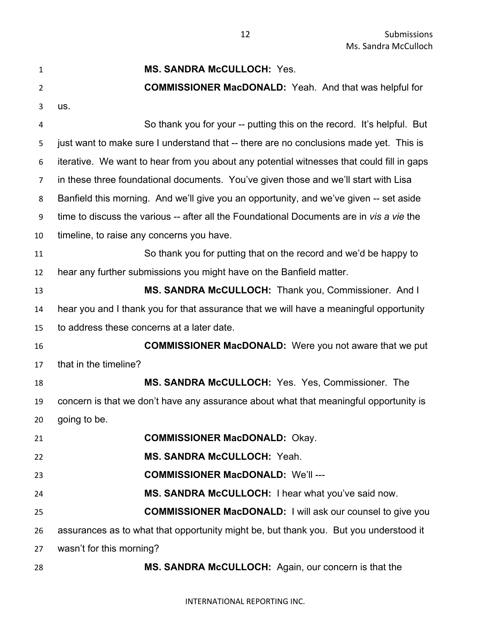| 1  | <b>MS. SANDRA McCULLOCH: Yes.</b>                                                         |
|----|-------------------------------------------------------------------------------------------|
| 2  | <b>COMMISSIONER MacDONALD:</b> Yeah. And that was helpful for                             |
| 3  | us.                                                                                       |
| 4  | So thank you for your -- putting this on the record. It's helpful. But                    |
| 5  | just want to make sure I understand that -- there are no conclusions made yet. This is    |
| 6  | iterative. We want to hear from you about any potential witnesses that could fill in gaps |
| 7  | in these three foundational documents. You've given those and we'll start with Lisa       |
| 8  | Banfield this morning. And we'll give you an opportunity, and we've given -- set aside    |
| 9  | time to discuss the various -- after all the Foundational Documents are in vis a vie the  |
| 10 | timeline, to raise any concerns you have.                                                 |
| 11 | So thank you for putting that on the record and we'd be happy to                          |
| 12 | hear any further submissions you might have on the Banfield matter.                       |
| 13 | MS. SANDRA McCULLOCH: Thank you, Commissioner. And I                                      |
| 14 | hear you and I thank you for that assurance that we will have a meaningful opportunity    |
| 15 | to address these concerns at a later date.                                                |
| 16 | <b>COMMISSIONER MacDONALD:</b> Were you not aware that we put                             |
| 17 | that in the timeline?                                                                     |
| 18 | MS. SANDRA McCULLOCH: Yes. Yes, Commissioner. The                                         |
| 19 | concern is that we don't have any assurance about what that meaningful opportunity is     |
| 20 | going to be.                                                                              |
| 21 | <b>COMMISSIONER MacDONALD: Okay.</b>                                                      |
| 22 | MS. SANDRA McCULLOCH: Yeah.                                                               |
| 23 | <b>COMMISSIONER MacDONALD: We'll ---</b>                                                  |
| 24 | MS. SANDRA McCULLOCH: I hear what you've said now.                                        |
| 25 | <b>COMMISSIONER MacDONALD:</b> I will ask our counsel to give you                         |
| 26 | assurances as to what that opportunity might be, but thank you. But you understood it     |
| 27 | wasn't for this morning?                                                                  |
| 28 | MS. SANDRA McCULLOCH: Again, our concern is that the                                      |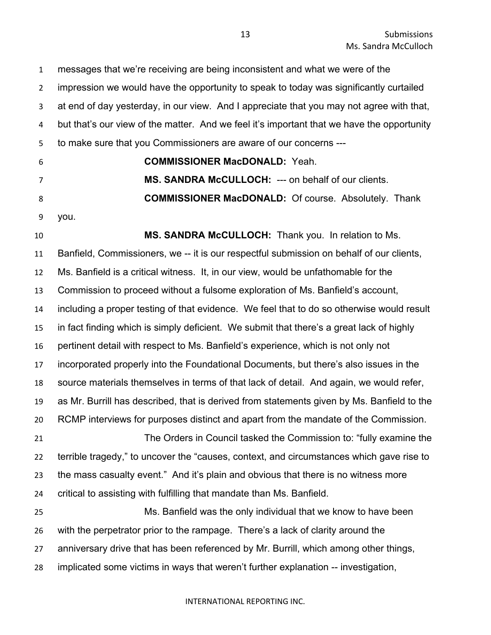messages that we're receiving are being inconsistent and what we were of the impression we would have the opportunity to speak to today was significantly curtailed at end of day yesterday, in our view. And I appreciate that you may not agree with that, but that's our view of the matter. And we feel it's important that we have the opportunity to make sure that you Commissioners are aware of our concerns ---

**COMMISSIONER MacDONALD:** Yeah.

 **MS. SANDRA McCULLOCH:** --- on behalf of our clients. **COMMISSIONER MacDONALD:** Of course. Absolutely. Thank

you.

 **MS. SANDRA McCULLOCH:** Thank you. In relation to Ms. Banfield, Commissioners, we -- it is our respectful submission on behalf of our clients, Ms. Banfield is a critical witness. It, in our view, would be unfathomable for the Commission to proceed without a fulsome exploration of Ms. Banfield's account, including a proper testing of that evidence. We feel that to do so otherwise would result in fact finding which is simply deficient. We submit that there's a great lack of highly pertinent detail with respect to Ms. Banfield's experience, which is not only not incorporated properly into the Foundational Documents, but there's also issues in the source materials themselves in terms of that lack of detail. And again, we would refer, as Mr. Burrill has described, that is derived from statements given by Ms. Banfield to the RCMP interviews for purposes distinct and apart from the mandate of the Commission. The Orders in Council tasked the Commission to: "fully examine the terrible tragedy," to uncover the "causes, context, and circumstances which gave rise to the mass casualty event." And it's plain and obvious that there is no witness more critical to assisting with fulfilling that mandate than Ms. Banfield. Ms. Banfield was the only individual that we know to have been with the perpetrator prior to the rampage. There's a lack of clarity around the

anniversary drive that has been referenced by Mr. Burrill, which among other things,

implicated some victims in ways that weren't further explanation -- investigation,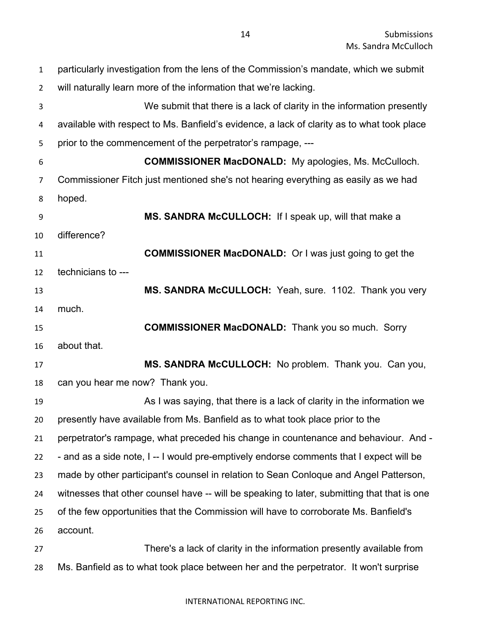| $\mathbf{1}$   | particularly investigation from the lens of the Commission's mandate, which we submit       |
|----------------|---------------------------------------------------------------------------------------------|
| $\overline{2}$ | will naturally learn more of the information that we're lacking.                            |
| 3              | We submit that there is a lack of clarity in the information presently                      |
| 4              | available with respect to Ms. Banfield's evidence, a lack of clarity as to what took place  |
| 5              | prior to the commencement of the perpetrator's rampage, ---                                 |
| 6              | <b>COMMISSIONER MacDONALD:</b> My apologies, Ms. McCulloch.                                 |
| $\overline{7}$ | Commissioner Fitch just mentioned she's not hearing everything as easily as we had          |
| 8              | hoped.                                                                                      |
| 9              | MS. SANDRA McCULLOCH: If I speak up, will that make a                                       |
| 10             | difference?                                                                                 |
| 11             | <b>COMMISSIONER MacDONALD:</b> Or I was just going to get the                               |
| 12             | technicians to ---                                                                          |
| 13             | MS. SANDRA McCULLOCH: Yeah, sure. 1102. Thank you very                                      |
| 14             | much.                                                                                       |
| 15             | <b>COMMISSIONER MacDONALD:</b> Thank you so much. Sorry                                     |
| 16             | about that.                                                                                 |
| 17             | MS. SANDRA McCULLOCH: No problem. Thank you. Can you,                                       |
| 18             | can you hear me now? Thank you.                                                             |
| 19             | As I was saying, that there is a lack of clarity in the information we                      |
| 20             | presently have available from Ms. Banfield as to what took place prior to the               |
| 21             | perpetrator's rampage, what preceded his change in countenance and behaviour. And -         |
| 22             | - and as a side note, I -- I would pre-emptively endorse comments that I expect will be     |
| 23             | made by other participant's counsel in relation to Sean Conloque and Angel Patterson,       |
| 24             | witnesses that other counsel have -- will be speaking to later, submitting that that is one |
| 25             | of the few opportunities that the Commission will have to corroborate Ms. Banfield's        |
| 26             | account.                                                                                    |
| 27             | There's a lack of clarity in the information presently available from                       |
| 28             | Ms. Banfield as to what took place between her and the perpetrator. It won't surprise       |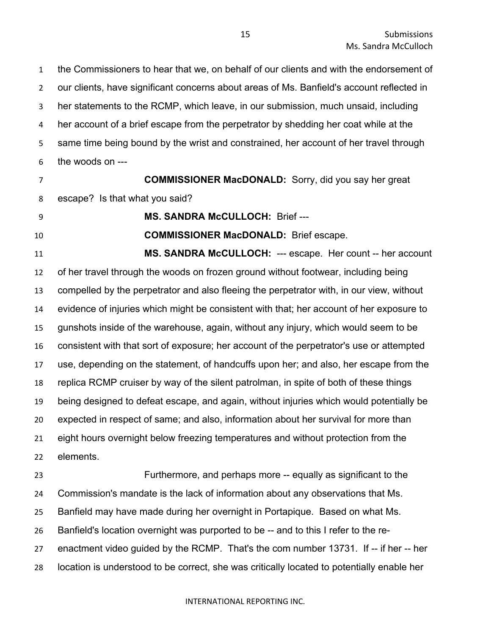the Commissioners to hear that we, on behalf of our clients and with the endorsement of our clients, have significant concerns about areas of Ms. Banfield's account reflected in her statements to the RCMP, which leave, in our submission, much unsaid, including her account of a brief escape from the perpetrator by shedding her coat while at the same time being bound by the wrist and constrained, her account of her travel through the woods on ---

 **COMMISSIONER MacDONALD:** Sorry, did you say her great escape? Is that what you said?

**MS. SANDRA McCULLOCH:** Brief ---

**COMMISSIONER MacDONALD:** Brief escape.

 **MS. SANDRA McCULLOCH:** --- escape. Her count -- her account of her travel through the woods on frozen ground without footwear, including being compelled by the perpetrator and also fleeing the perpetrator with, in our view, without evidence of injuries which might be consistent with that; her account of her exposure to gunshots inside of the warehouse, again, without any injury, which would seem to be consistent with that sort of exposure; her account of the perpetrator's use or attempted use, depending on the statement, of handcuffs upon her; and also, her escape from the replica RCMP cruiser by way of the silent patrolman, in spite of both of these things being designed to defeat escape, and again, without injuries which would potentially be expected in respect of same; and also, information about her survival for more than eight hours overnight below freezing temperatures and without protection from the elements.

 Furthermore, and perhaps more -- equally as significant to the Commission's mandate is the lack of information about any observations that Ms. Banfield may have made during her overnight in Portapique. Based on what Ms. Banfield's location overnight was purported to be -- and to this I refer to the re- enactment video guided by the RCMP. That's the com number 13731. If -- if her -- her location is understood to be correct, she was critically located to potentially enable her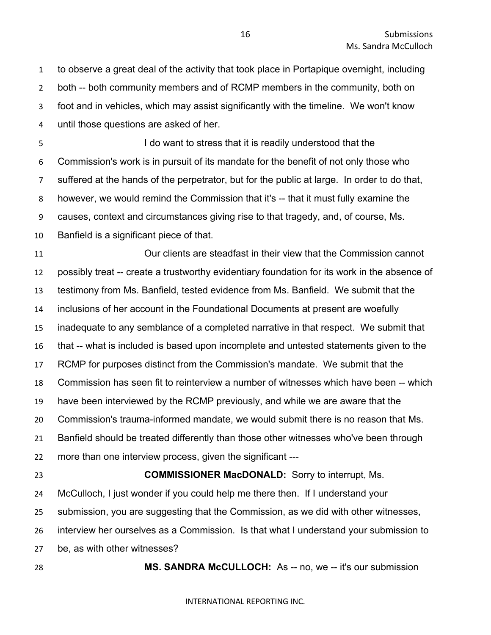to observe a great deal of the activity that took place in Portapique overnight, including both -- both community members and of RCMP members in the community, both on foot and in vehicles, which may assist significantly with the timeline. We won't know until those questions are asked of her.

 I do want to stress that it is readily understood that the Commission's work is in pursuit of its mandate for the benefit of not only those who suffered at the hands of the perpetrator, but for the public at large. In order to do that, however, we would remind the Commission that it's -- that it must fully examine the causes, context and circumstances giving rise to that tragedy, and, of course, Ms. Banfield is a significant piece of that.

 Our clients are steadfast in their view that the Commission cannot possibly treat -- create a trustworthy evidentiary foundation for its work in the absence of testimony from Ms. Banfield, tested evidence from Ms. Banfield. We submit that the inclusions of her account in the Foundational Documents at present are woefully inadequate to any semblance of a completed narrative in that respect. We submit that that -- what is included is based upon incomplete and untested statements given to the RCMP for purposes distinct from the Commission's mandate. We submit that the Commission has seen fit to reinterview a number of witnesses which have been -- which have been interviewed by the RCMP previously, and while we are aware that the Commission's trauma-informed mandate, we would submit there is no reason that Ms. Banfield should be treated differently than those other witnesses who've been through more than one interview process, given the significant --- **COMMISSIONER MacDONALD:** Sorry to interrupt, Ms. McCulloch, I just wonder if you could help me there then. If I understand your submission, you are suggesting that the Commission, as we did with other witnesses, interview her ourselves as a Commission. Is that what I understand your submission to

be, as with other witnesses?

**MS. SANDRA McCULLOCH:** As -- no, we -- it's our submission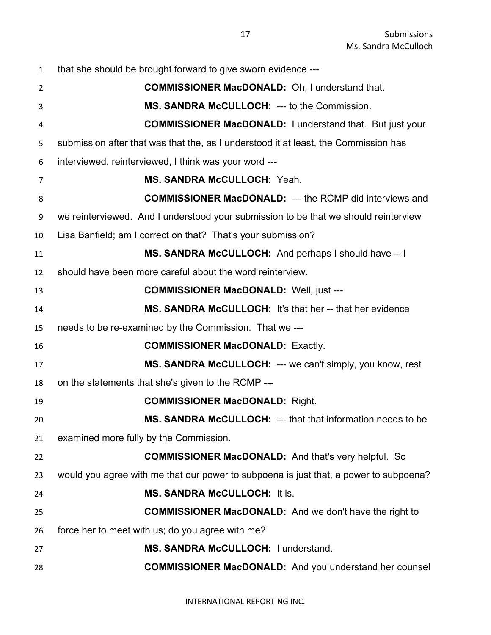that she should be brought forward to give sworn evidence --- **COMMISSIONER MacDONALD:** Oh, I understand that. **MS. SANDRA McCULLOCH:** --- to the Commission. **COMMISSIONER MacDONALD:** I understand that. But just your submission after that was that the, as I understood it at least, the Commission has interviewed, reinterviewed, I think was your word --- **MS. SANDRA McCULLOCH:** Yeah. **COMMISSIONER MacDONALD:** --- the RCMP did interviews and we reinterviewed. And I understood your submission to be that we should reinterview Lisa Banfield; am I correct on that? That's your submission? **MS. SANDRA McCULLOCH:** And perhaps I should have -- I should have been more careful about the word reinterview. **COMMISSIONER MacDONALD:** Well, just --- **MS. SANDRA McCULLOCH:** It's that her -- that her evidence needs to be re-examined by the Commission. That we --- **COMMISSIONER MacDONALD:** Exactly. **MS. SANDRA McCULLOCH:** --- we can't simply, you know, rest on the statements that she's given to the RCMP --- **COMMISSIONER MacDONALD:** Right. **MS. SANDRA McCULLOCH:** --- that that information needs to be examined more fully by the Commission. **COMMISSIONER MacDONALD:** And that's very helpful. So would you agree with me that our power to subpoena is just that, a power to subpoena? **MS. SANDRA McCULLOCH:** It is. **COMMISSIONER MacDONALD:** And we don't have the right to force her to meet with us; do you agree with me? **MS. SANDRA McCULLOCH:** I understand. **COMMISSIONER MacDONALD:** And you understand her counsel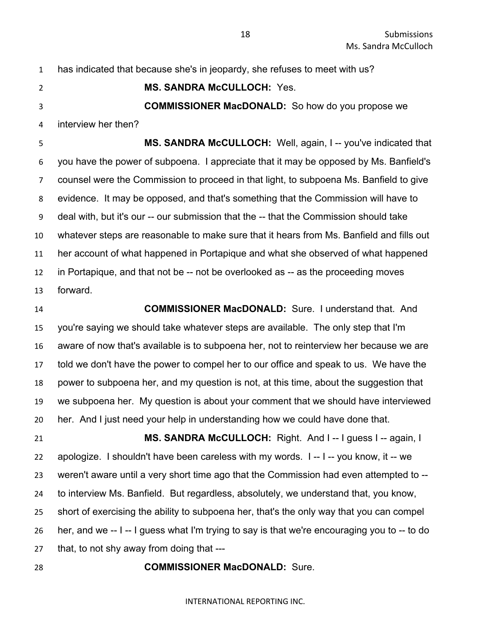**MS. SANDRA McCULLOCH:** Yes. **COMMISSIONER MacDONALD:** So how do you propose we

has indicated that because she's in jeopardy, she refuses to meet with us?

 **MS. SANDRA McCULLOCH:** Well, again, I -- you've indicated that you have the power of subpoena. I appreciate that it may be opposed by Ms. Banfield's counsel were the Commission to proceed in that light, to subpoena Ms. Banfield to give evidence. It may be opposed, and that's something that the Commission will have to deal with, but it's our -- our submission that the -- that the Commission should take whatever steps are reasonable to make sure that it hears from Ms. Banfield and fills out her account of what happened in Portapique and what she observed of what happened in Portapique, and that not be -- not be overlooked as -- as the proceeding moves forward.

interview her then?

 **COMMISSIONER MacDONALD:** Sure. I understand that. And you're saying we should take whatever steps are available. The only step that I'm

 aware of now that's available is to subpoena her, not to reinterview her because we are told we don't have the power to compel her to our office and speak to us. We have the power to subpoena her, and my question is not, at this time, about the suggestion that we subpoena her. My question is about your comment that we should have interviewed her. And I just need your help in understanding how we could have done that.

 **MS. SANDRA McCULLOCH:** Right. And I -- I guess I -- again, I apologize. I shouldn't have been careless with my words. I -- I -- you know, it -- we weren't aware until a very short time ago that the Commission had even attempted to -- to interview Ms. Banfield. But regardless, absolutely, we understand that, you know, short of exercising the ability to subpoena her, that's the only way that you can compel her, and we -- I -- I guess what I'm trying to say is that we're encouraging you to -- to do that, to not shy away from doing that ---

### **COMMISSIONER MacDONALD:** Sure.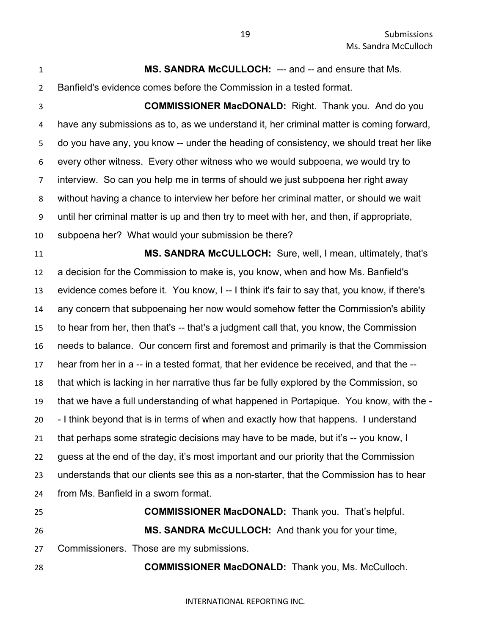**MS. SANDRA McCULLOCH:** --- and -- and ensure that Ms. Banfield's evidence comes before the Commission in a tested format.

 **COMMISSIONER MacDONALD:** Right. Thank you. And do you have any submissions as to, as we understand it, her criminal matter is coming forward, do you have any, you know -- under the heading of consistency, we should treat her like every other witness. Every other witness who we would subpoena, we would try to interview. So can you help me in terms of should we just subpoena her right away without having a chance to interview her before her criminal matter, or should we wait until her criminal matter is up and then try to meet with her, and then, if appropriate, subpoena her? What would your submission be there?

 **MS. SANDRA McCULLOCH:** Sure, well, I mean, ultimately, that's a decision for the Commission to make is, you know, when and how Ms. Banfield's evidence comes before it. You know, I -- I think it's fair to say that, you know, if there's any concern that subpoenaing her now would somehow fetter the Commission's ability to hear from her, then that's -- that's a judgment call that, you know, the Commission needs to balance. Our concern first and foremost and primarily is that the Commission hear from her in a -- in a tested format, that her evidence be received, and that the -- that which is lacking in her narrative thus far be fully explored by the Commission, so that we have a full understanding of what happened in Portapique. You know, with the - - I think beyond that is in terms of when and exactly how that happens. I understand that perhaps some strategic decisions may have to be made, but it's -- you know, I guess at the end of the day, it's most important and our priority that the Commission understands that our clients see this as a non-starter, that the Commission has to hear from Ms. Banfield in a sworn format. **COMMISSIONER MacDONALD:** Thank you. That's helpful.

 **MS. SANDRA McCULLOCH:** And thank you for your time, Commissioners. Those are my submissions.

**COMMISSIONER MacDONALD:** Thank you, Ms. McCulloch.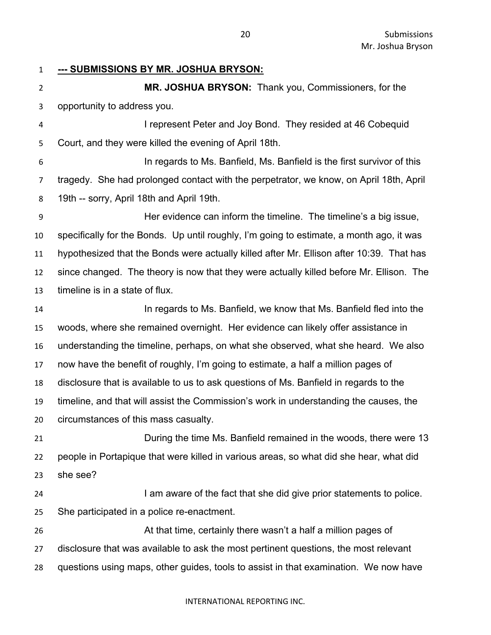**--- SUBMISSIONS BY MR. JOSHUA BRYSON:**

 **MR. JOSHUA BRYSON:** Thank you, Commissioners, for the opportunity to address you.

 I represent Peter and Joy Bond. They resided at 46 Cobequid Court, and they were killed the evening of April 18th.

 In regards to Ms. Banfield, Ms. Banfield is the first survivor of this tragedy. She had prolonged contact with the perpetrator, we know, on April 18th, April 19th -- sorry, April 18th and April 19th.

 Her evidence can inform the timeline. The timeline's a big issue, specifically for the Bonds. Up until roughly, I'm going to estimate, a month ago, it was hypothesized that the Bonds were actually killed after Mr. Ellison after 10:39. That has since changed. The theory is now that they were actually killed before Mr. Ellison. The timeline is in a state of flux.

 In regards to Ms. Banfield, we know that Ms. Banfield fled into the woods, where she remained overnight. Her evidence can likely offer assistance in understanding the timeline, perhaps, on what she observed, what she heard. We also now have the benefit of roughly, I'm going to estimate, a half a million pages of disclosure that is available to us to ask questions of Ms. Banfield in regards to the timeline, and that will assist the Commission's work in understanding the causes, the circumstances of this mass casualty.

 During the time Ms. Banfield remained in the woods, there were 13 people in Portapique that were killed in various areas, so what did she hear, what did she see?

**I am aware of the fact that she did give prior statements to police.** She participated in a police re-enactment.

 At that time, certainly there wasn't a half a million pages of disclosure that was available to ask the most pertinent questions, the most relevant questions using maps, other guides, tools to assist in that examination. We now have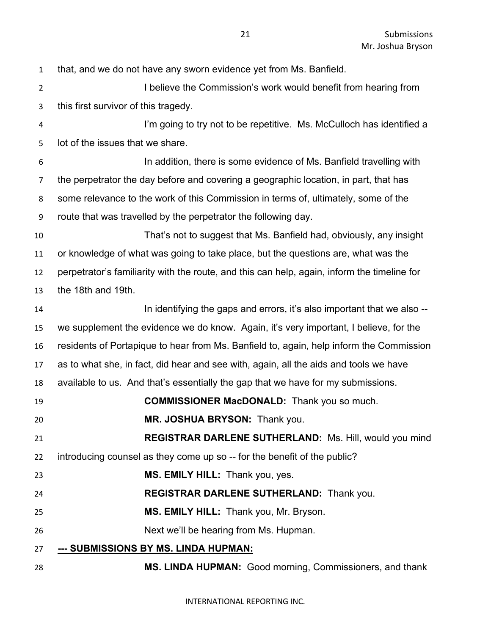that, and we do not have any sworn evidence yet from Ms. Banfield.

2 I believe the Commission's work would benefit from hearing from this first survivor of this tragedy.

 I'm going to try not to be repetitive. Ms. McCulloch has identified a lot of the issues that we share.

 In addition, there is some evidence of Ms. Banfield travelling with the perpetrator the day before and covering a geographic location, in part, that has some relevance to the work of this Commission in terms of, ultimately, some of the route that was travelled by the perpetrator the following day.

 That's not to suggest that Ms. Banfield had, obviously, any insight or knowledge of what was going to take place, but the questions are, what was the perpetrator's familiarity with the route, and this can help, again, inform the timeline for the 18th and 19th.

**In identifying the gaps and errors, it's also important that we also --** we supplement the evidence we do know. Again, it's very important, I believe, for the residents of Portapique to hear from Ms. Banfield to, again, help inform the Commission as to what she, in fact, did hear and see with, again, all the aids and tools we have available to us. And that's essentially the gap that we have for my submissions.

- **COMMISSIONER MacDONALD:** Thank you so much.
- **MR. JOSHUA BRYSON:** Thank you.

 **REGISTRAR DARLENE SUTHERLAND:** Ms. Hill, would you mind introducing counsel as they come up so -- for the benefit of the public?

**MS. EMILY HILL:** Thank you, yes.

- **REGISTRAR DARLENE SUTHERLAND:** Thank you.
- **MS. EMILY HILL:** Thank you, Mr. Bryson.
- Next we'll be hearing from Ms. Hupman.
- **--- SUBMISSIONS BY MS. LINDA HUPMAN:**
- **MS. LINDA HUPMAN:** Good morning, Commissioners, and thank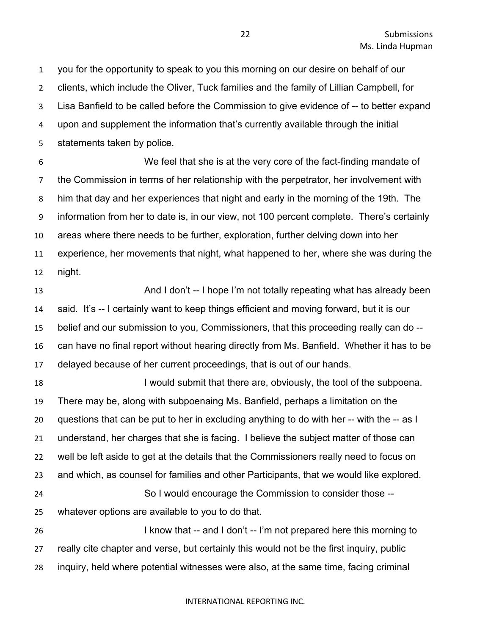you for the opportunity to speak to you this morning on our desire on behalf of our clients, which include the Oliver, Tuck families and the family of Lillian Campbell, for Lisa Banfield to be called before the Commission to give evidence of -- to better expand upon and supplement the information that's currently available through the initial statements taken by police.

 We feel that she is at the very core of the fact-finding mandate of the Commission in terms of her relationship with the perpetrator, her involvement with him that day and her experiences that night and early in the morning of the 19th. The information from her to date is, in our view, not 100 percent complete. There's certainly areas where there needs to be further, exploration, further delving down into her experience, her movements that night, what happened to her, where she was during the night.

**And I don't -- I hope I'm not totally repeating what has already been**  said. It's -- I certainly want to keep things efficient and moving forward, but it is our belief and our submission to you, Commissioners, that this proceeding really can do -- can have no final report without hearing directly from Ms. Banfield. Whether it has to be delayed because of her current proceedings, that is out of our hands.

18 I would submit that there are, obviously, the tool of the subpoena. There may be, along with subpoenaing Ms. Banfield, perhaps a limitation on the questions that can be put to her in excluding anything to do with her -- with the -- as I understand, her charges that she is facing. I believe the subject matter of those can well be left aside to get at the details that the Commissioners really need to focus on and which, as counsel for families and other Participants, that we would like explored. So I would encourage the Commission to consider those -- whatever options are available to you to do that. I know that -- and I don't -- I'm not prepared here this morning to really cite chapter and verse, but certainly this would not be the first inquiry, public

inquiry, held where potential witnesses were also, at the same time, facing criminal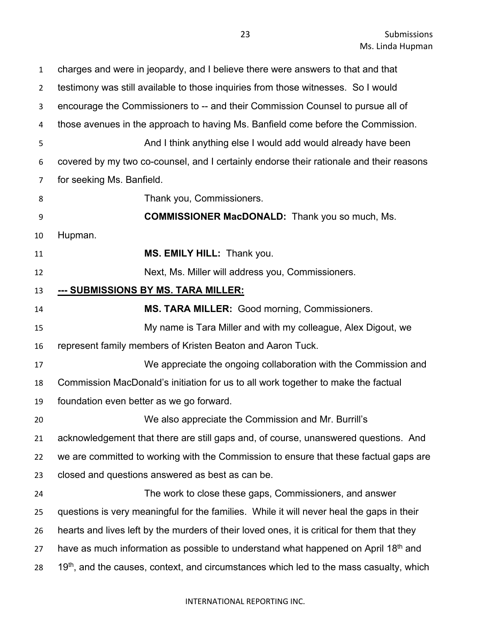| $\mathbf{1}$   | charges and were in jeopardy, and I believe there were answers to that and that             |
|----------------|---------------------------------------------------------------------------------------------|
| $\overline{2}$ | testimony was still available to those inquiries from those witnesses. So I would           |
| 3              | encourage the Commissioners to -- and their Commission Counsel to pursue all of             |
| 4              | those avenues in the approach to having Ms. Banfield come before the Commission.            |
| 5              | And I think anything else I would add would already have been                               |
| 6              | covered by my two co-counsel, and I certainly endorse their rationale and their reasons     |
| 7              | for seeking Ms. Banfield.                                                                   |
| 8              | Thank you, Commissioners.                                                                   |
| 9              | <b>COMMISSIONER MacDONALD:</b> Thank you so much, Ms.                                       |
| 10             | Hupman.                                                                                     |
| 11             | MS. EMILY HILL: Thank you.                                                                  |
| 12             | Next, Ms. Miller will address you, Commissioners.                                           |
| 13             | --- SUBMISSIONS BY MS. TARA MILLER:                                                         |
| 14             | MS. TARA MILLER: Good morning, Commissioners.                                               |
| 15             | My name is Tara Miller and with my colleague, Alex Digout, we                               |
| 16             | represent family members of Kristen Beaton and Aaron Tuck.                                  |
| 17             | We appreciate the ongoing collaboration with the Commission and                             |
| 18             | Commission MacDonald's initiation for us to all work together to make the factual           |
| 19             | foundation even better as we go forward.                                                    |
| 20             | We also appreciate the Commission and Mr. Burrill's                                         |
| 21             | acknowledgement that there are still gaps and, of course, unanswered questions. And         |
| 22             | we are committed to working with the Commission to ensure that these factual gaps are       |
| 23             | closed and questions answered as best as can be.                                            |
| 24             | The work to close these gaps, Commissioners, and answer                                     |
| 25             | questions is very meaningful for the families. While it will never heal the gaps in their   |
| 26             | hearts and lives left by the murders of their loved ones, it is critical for them that they |
| 27             | have as much information as possible to understand what happened on April 18th and          |
| 28             | $19th$ , and the causes, context, and circumstances which led to the mass casualty, which   |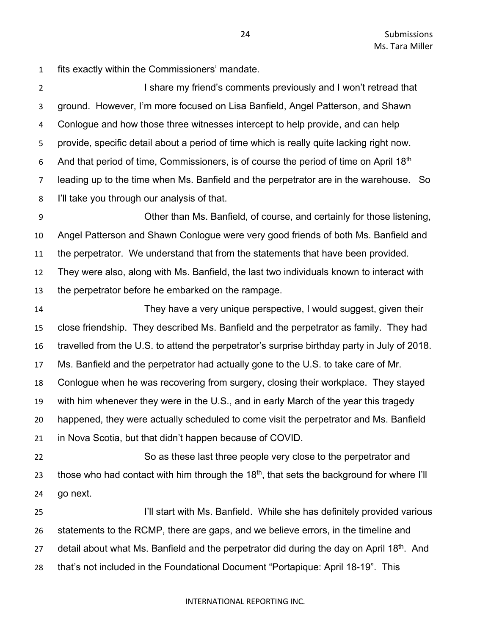fits exactly within the Commissioners' mandate.

2 I share my friend's comments previously and I won't retread that ground. However, I'm more focused on Lisa Banfield, Angel Patterson, and Shawn Conlogue and how those three witnesses intercept to help provide, and can help provide, specific detail about a period of time which is really quite lacking right now. 6 And that period of time, Commissioners, is of course the period of time on April  $18<sup>th</sup>$  leading up to the time when Ms. Banfield and the perpetrator are in the warehouse. So I'll take you through our analysis of that.

 Other than Ms. Banfield, of course, and certainly for those listening, Angel Patterson and Shawn Conlogue were very good friends of both Ms. Banfield and the perpetrator. We understand that from the statements that have been provided. They were also, along with Ms. Banfield, the last two individuals known to interact with the perpetrator before he embarked on the rampage.

 They have a very unique perspective, I would suggest, given their close friendship. They described Ms. Banfield and the perpetrator as family. They had travelled from the U.S. to attend the perpetrator's surprise birthday party in July of 2018. Ms. Banfield and the perpetrator had actually gone to the U.S. to take care of Mr. Conlogue when he was recovering from surgery, closing their workplace. They stayed with him whenever they were in the U.S., and in early March of the year this tragedy happened, they were actually scheduled to come visit the perpetrator and Ms. Banfield in Nova Scotia, but that didn't happen because of COVID.

 So as these last three people very close to the perpetrator and 23 those who had contact with him through the  $18<sup>th</sup>$ , that sets the background for where I'll go next.

 I'll start with Ms. Banfield. While she has definitely provided various statements to the RCMP, there are gaps, and we believe errors, in the timeline and 27 detail about what Ms. Banfield and the perpetrator did during the day on April 18<sup>th</sup>. And that's not included in the Foundational Document "Portapique: April 18-19". This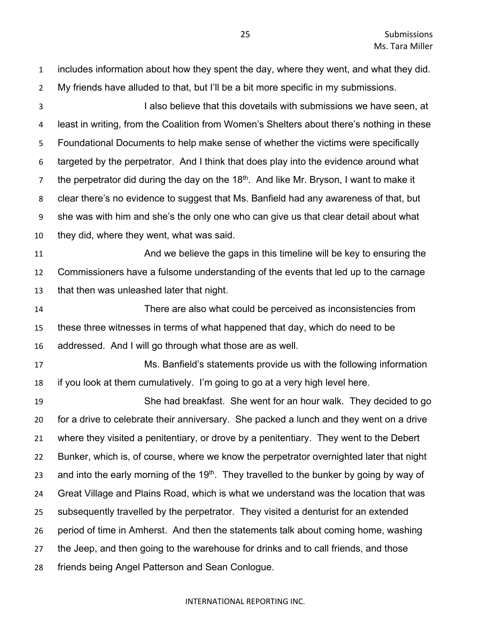includes information about how they spent the day, where they went, and what they did. My friends have alluded to that, but I'll be a bit more specific in my submissions. I also believe that this dovetails with submissions we have seen, at least in writing, from the Coalition from Women's Shelters about there's nothing in these Foundational Documents to help make sense of whether the victims were specifically targeted by the perpetrator. And I think that does play into the evidence around what the perpetrator did during the day on the  $18<sup>th</sup>$ . And like Mr. Bryson, I want to make it clear there's no evidence to suggest that Ms. Banfield had any awareness of that, but she was with him and she's the only one who can give us that clear detail about what they did, where they went, what was said. And we believe the gaps in this timeline will be key to ensuring the Commissioners have a fulsome understanding of the events that led up to the carnage that then was unleashed later that night. There are also what could be perceived as inconsistencies from these three witnesses in terms of what happened that day, which do need to be addressed. And I will go through what those are as well. Ms. Banfield's statements provide us with the following information if you look at them cumulatively. I'm going to go at a very high level here. She had breakfast. She went for an hour walk. They decided to go for a drive to celebrate their anniversary. She packed a lunch and they went on a drive where they visited a penitentiary, or drove by a penitentiary. They went to the Debert Bunker, which is, of course, where we know the perpetrator overnighted later that night 23 and into the early morning of the 19<sup>th</sup>. They travelled to the bunker by going by way of Great Village and Plains Road, which is what we understand was the location that was subsequently travelled by the perpetrator. They visited a denturist for an extended period of time in Amherst. And then the statements talk about coming home, washing the Jeep, and then going to the warehouse for drinks and to call friends, and those friends being Angel Patterson and Sean Conlogue.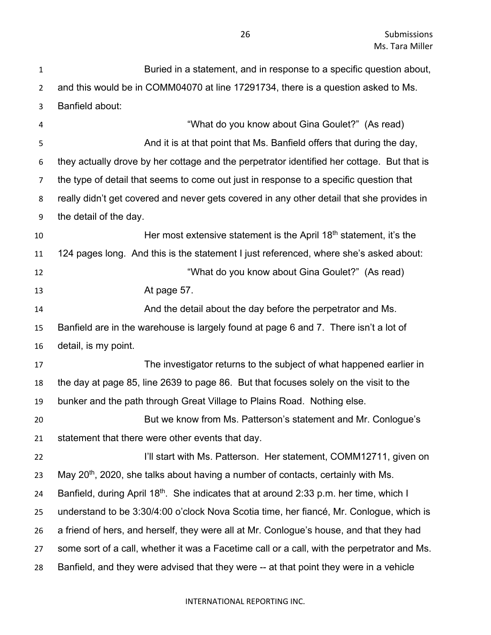| $\mathbf{1}$   | Buried in a statement, and in response to a specific question about,                               |
|----------------|----------------------------------------------------------------------------------------------------|
| $\overline{2}$ | and this would be in COMM04070 at line 17291734, there is a question asked to Ms.                  |
| 3              | Banfield about:                                                                                    |
| 4              | "What do you know about Gina Goulet?" (As read)                                                    |
| 5              | And it is at that point that Ms. Banfield offers that during the day,                              |
| 6              | they actually drove by her cottage and the perpetrator identified her cottage. But that is         |
| 7              | the type of detail that seems to come out just in response to a specific question that             |
| 8              | really didn't get covered and never gets covered in any other detail that she provides in          |
| 9              | the detail of the day.                                                                             |
| 10             | Her most extensive statement is the April $18th$ statement, it's the                               |
| 11             | 124 pages long. And this is the statement I just referenced, where she's asked about:              |
| 12             | "What do you know about Gina Goulet?" (As read)                                                    |
| 13             | At page 57.                                                                                        |
| 14             | And the detail about the day before the perpetrator and Ms.                                        |
| 15             | Banfield are in the warehouse is largely found at page 6 and 7. There isn't a lot of               |
| 16             | detail, is my point.                                                                               |
| 17             | The investigator returns to the subject of what happened earlier in                                |
| 18             | the day at page 85, line 2639 to page 86. But that focuses solely on the visit to the              |
| 19             | bunker and the path through Great Village to Plains Road. Nothing else.                            |
| 20             | But we know from Ms. Patterson's statement and Mr. Conlogue's                                      |
| 21             | statement that there were other events that day.                                                   |
| 22             | I'll start with Ms. Patterson. Her statement, COMM12711, given on                                  |
| 23             | May 20 <sup>th</sup> , 2020, she talks about having a number of contacts, certainly with Ms.       |
| 24             | Banfield, during April 18 <sup>th</sup> . She indicates that at around 2:33 p.m. her time, which I |
| 25             | understand to be 3:30/4:00 o'clock Nova Scotia time, her fiancé, Mr. Conlogue, which is            |
| 26             | a friend of hers, and herself, they were all at Mr. Conlogue's house, and that they had            |
| 27             | some sort of a call, whether it was a Facetime call or a call, with the perpetrator and Ms.        |
| 28             | Banfield, and they were advised that they were -- at that point they were in a vehicle             |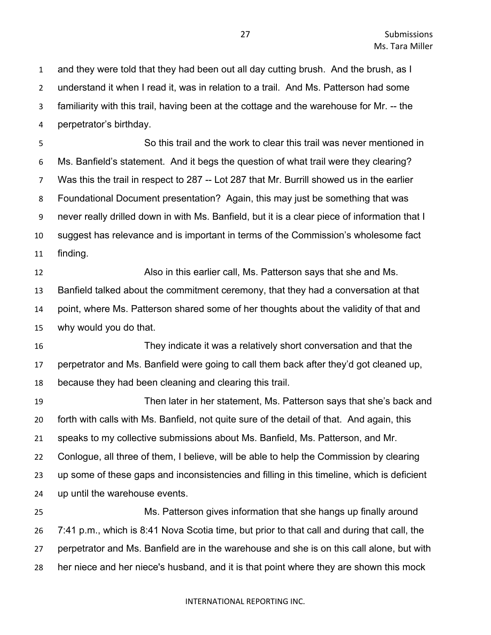and they were told that they had been out all day cutting brush. And the brush, as I understand it when I read it, was in relation to a trail. And Ms. Patterson had some familiarity with this trail, having been at the cottage and the warehouse for Mr. -- the perpetrator's birthday.

 So this trail and the work to clear this trail was never mentioned in Ms. Banfield's statement. And it begs the question of what trail were they clearing? Was this the trail in respect to 287 -- Lot 287 that Mr. Burrill showed us in the earlier Foundational Document presentation? Again, this may just be something that was never really drilled down in with Ms. Banfield, but it is a clear piece of information that I suggest has relevance and is important in terms of the Commission's wholesome fact finding.

 Also in this earlier call, Ms. Patterson says that she and Ms. Banfield talked about the commitment ceremony, that they had a conversation at that point, where Ms. Patterson shared some of her thoughts about the validity of that and why would you do that.

 They indicate it was a relatively short conversation and that the perpetrator and Ms. Banfield were going to call them back after they'd got cleaned up, because they had been cleaning and clearing this trail.

 Then later in her statement, Ms. Patterson says that she's back and forth with calls with Ms. Banfield, not quite sure of the detail of that. And again, this speaks to my collective submissions about Ms. Banfield, Ms. Patterson, and Mr. Conlogue, all three of them, I believe, will be able to help the Commission by clearing up some of these gaps and inconsistencies and filling in this timeline, which is deficient up until the warehouse events.

 Ms. Patterson gives information that she hangs up finally around 7:41 p.m., which is 8:41 Nova Scotia time, but prior to that call and during that call, the perpetrator and Ms. Banfield are in the warehouse and she is on this call alone, but with her niece and her niece's husband, and it is that point where they are shown this mock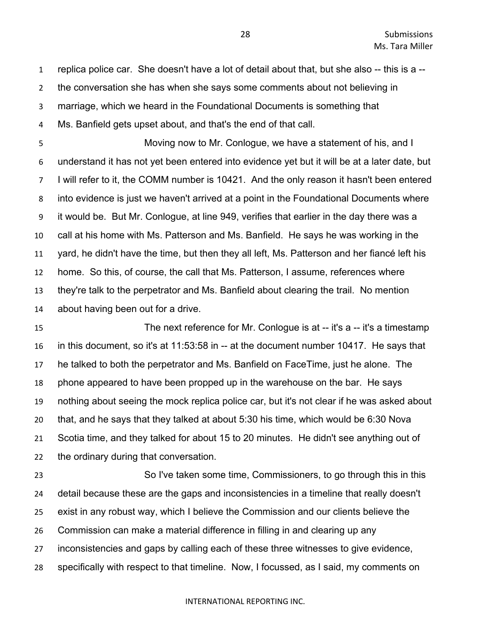replica police car. She doesn't have a lot of detail about that, but she also -- this is a --

the conversation she has when she says some comments about not believing in

marriage, which we heard in the Foundational Documents is something that

Ms. Banfield gets upset about, and that's the end of that call.

 Moving now to Mr. Conlogue, we have a statement of his, and I understand it has not yet been entered into evidence yet but it will be at a later date, but I will refer to it, the COMM number is 10421. And the only reason it hasn't been entered into evidence is just we haven't arrived at a point in the Foundational Documents where it would be. But Mr. Conlogue, at line 949, verifies that earlier in the day there was a call at his home with Ms. Patterson and Ms. Banfield. He says he was working in the yard, he didn't have the time, but then they all left, Ms. Patterson and her fiancé left his home. So this, of course, the call that Ms. Patterson, I assume, references where they're talk to the perpetrator and Ms. Banfield about clearing the trail. No mention about having been out for a drive.

**The next reference for Mr. Conlogue is at -- it's a -- it's a timestamp**  in this document, so it's at 11:53:58 in -- at the document number 10417. He says that he talked to both the perpetrator and Ms. Banfield on FaceTime, just he alone. The phone appeared to have been propped up in the warehouse on the bar. He says nothing about seeing the mock replica police car, but it's not clear if he was asked about that, and he says that they talked at about 5:30 his time, which would be 6:30 Nova Scotia time, and they talked for about 15 to 20 minutes. He didn't see anything out of the ordinary during that conversation.

 So I've taken some time, Commissioners, to go through this in this detail because these are the gaps and inconsistencies in a timeline that really doesn't exist in any robust way, which I believe the Commission and our clients believe the Commission can make a material difference in filling in and clearing up any inconsistencies and gaps by calling each of these three witnesses to give evidence, specifically with respect to that timeline. Now, I focussed, as I said, my comments on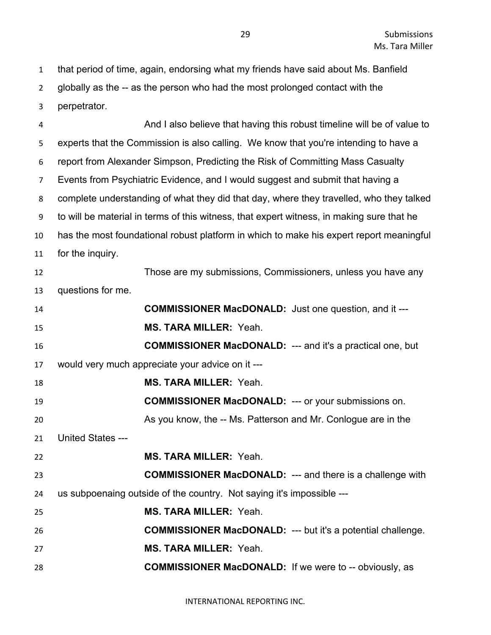that period of time, again, endorsing what my friends have said about Ms. Banfield globally as the -- as the person who had the most prolonged contact with the perpetrator.

 And I also believe that having this robust timeline will be of value to experts that the Commission is also calling. We know that you're intending to have a report from Alexander Simpson, Predicting the Risk of Committing Mass Casualty Events from Psychiatric Evidence, and I would suggest and submit that having a complete understanding of what they did that day, where they travelled, who they talked to will be material in terms of this witness, that expert witness, in making sure that he has the most foundational robust platform in which to make his expert report meaningful for the inquiry. Those are my submissions, Commissioners, unless you have any questions for me. **COMMISSIONER MacDONALD:** Just one question, and it --- **MS. TARA MILLER:** Yeah. **COMMISSIONER MacDONALD:** --- and it's a practical one, but would very much appreciate your advice on it --- **MS. TARA MILLER:** Yeah. **COMMISSIONER MacDONALD:** --- or your submissions on. 20 As you know, the -- Ms. Patterson and Mr. Conlogue are in the United States --- **MS. TARA MILLER:** Yeah. **COMMISSIONER MacDONALD:** --- and there is a challenge with us subpoenaing outside of the country. Not saying it's impossible --- **MS. TARA MILLER:** Yeah. **COMMISSIONER MacDONALD:** --- but it's a potential challenge. **MS. TARA MILLER:** Yeah. **COMMISSIONER MacDONALD:** If we were to -- obviously, as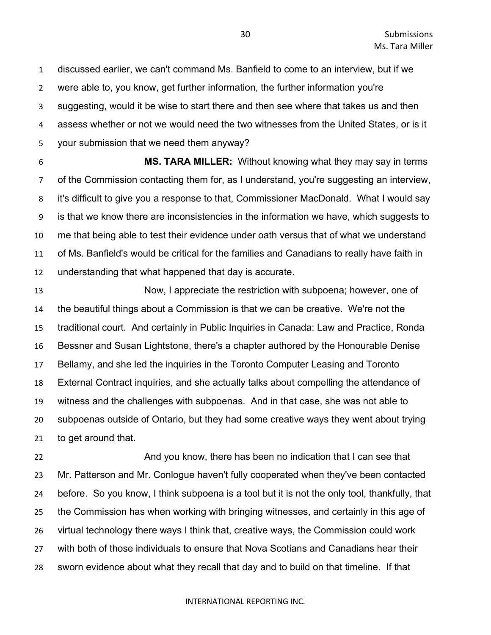discussed earlier, we can't command Ms. Banfield to come to an interview, but if we were able to, you know, get further information, the further information you're suggesting, would it be wise to start there and then see where that takes us and then assess whether or not we would need the two witnesses from the United States, or is it your submission that we need them anyway?

 **MS. TARA MILLER:** Without knowing what they may say in terms of the Commission contacting them for, as I understand, you're suggesting an interview, it's difficult to give you a response to that, Commissioner MacDonald. What I would say is that we know there are inconsistencies in the information we have, which suggests to me that being able to test their evidence under oath versus that of what we understand of Ms. Banfield's would be critical for the families and Canadians to really have faith in understanding that what happened that day is accurate.

 Now, I appreciate the restriction with subpoena; however, one of the beautiful things about a Commission is that we can be creative. We're not the traditional court. And certainly in Public Inquiries in Canada: Law and Practice, Ronda Bessner and Susan Lightstone, there's a chapter authored by the Honourable Denise Bellamy, and she led the inquiries in the Toronto Computer Leasing and Toronto External Contract inquiries, and she actually talks about compelling the attendance of witness and the challenges with subpoenas. And in that case, she was not able to subpoenas outside of Ontario, but they had some creative ways they went about trying to get around that.

 And you know, there has been no indication that I can see that Mr. Patterson and Mr. Conlogue haven't fully cooperated when they've been contacted before. So you know, I think subpoena is a tool but it is not the only tool, thankfully, that the Commission has when working with bringing witnesses, and certainly in this age of virtual technology there ways I think that, creative ways, the Commission could work with both of those individuals to ensure that Nova Scotians and Canadians hear their sworn evidence about what they recall that day and to build on that timeline. If that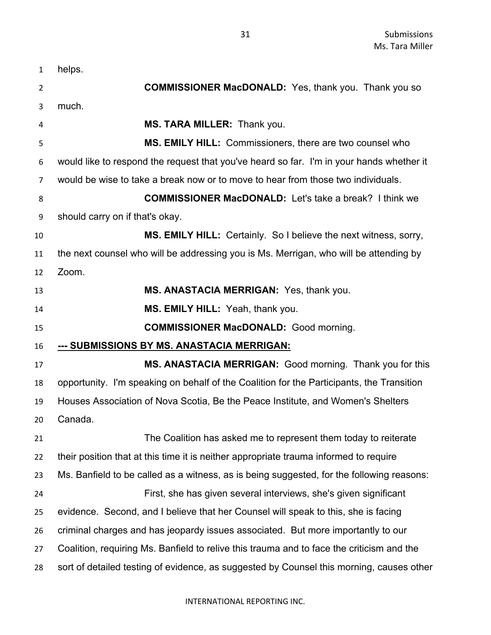| 1        | helps.                                                                                    |
|----------|-------------------------------------------------------------------------------------------|
| 2        | <b>COMMISSIONER MacDONALD:</b> Yes, thank you. Thank you so                               |
| 3        | much.                                                                                     |
| 4        | MS. TARA MILLER: Thank you.                                                               |
| 5        | MS. EMILY HILL: Commissioners, there are two counsel who                                  |
| 6        | would like to respond the request that you've heard so far. I'm in your hands whether it  |
| 7        | would be wise to take a break now or to move to hear from those two individuals.          |
| 8        | <b>COMMISSIONER MacDONALD:</b> Let's take a break? I think we                             |
| 9        | should carry on if that's okay.                                                           |
| 10       | <b>MS. EMILY HILL:</b> Certainly. So I believe the next witness, sorry,                   |
| 11       | the next counsel who will be addressing you is Ms. Merrigan, who will be attending by     |
| 12       | Zoom.                                                                                     |
| 13       | MS. ANASTACIA MERRIGAN: Yes, thank you.                                                   |
| 14       | MS. EMILY HILL: Yeah, thank you.                                                          |
| 15       | <b>COMMISSIONER MacDONALD:</b> Good morning.                                              |
|          |                                                                                           |
| 16       | <u>--- SUBMISSIONS BY MS. ANASTACIA MERRIGAN:</u>                                         |
| 17       | MS. ANASTACIA MERRIGAN: Good morning. Thank you for this                                  |
| 18       | opportunity. I'm speaking on behalf of the Coalition for the Participants, the Transition |
| 19       | Houses Association of Nova Scotia, Be the Peace Institute, and Women's Shelters           |
|          | Canada.                                                                                   |
| 20<br>21 | The Coalition has asked me to represent them today to reiterate                           |
| 22       | their position that at this time it is neither appropriate trauma informed to require     |
| 23       | Ms. Banfield to be called as a witness, as is being suggested, for the following reasons: |
| 24       | First, she has given several interviews, she's given significant                          |
| 25       | evidence. Second, and I believe that her Counsel will speak to this, she is facing        |
| 26       | criminal charges and has jeopardy issues associated. But more importantly to our          |
| 27       | Coalition, requiring Ms. Banfield to relive this trauma and to face the criticism and the |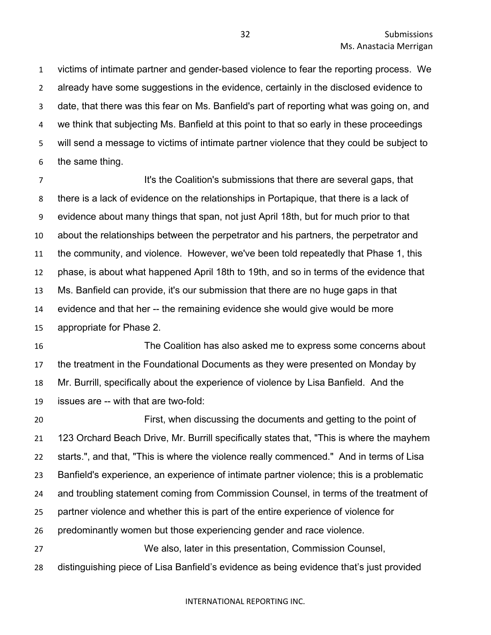victims of intimate partner and gender-based violence to fear the reporting process. We already have some suggestions in the evidence, certainly in the disclosed evidence to date, that there was this fear on Ms. Banfield's part of reporting what was going on, and we think that subjecting Ms. Banfield at this point to that so early in these proceedings will send a message to victims of intimate partner violence that they could be subject to the same thing.

**It's the Coalition's submissions that there are several gaps, that in the Coalition's submissions that here are several gaps, that**  there is a lack of evidence on the relationships in Portapique, that there is a lack of evidence about many things that span, not just April 18th, but for much prior to that about the relationships between the perpetrator and his partners, the perpetrator and the community, and violence. However, we've been told repeatedly that Phase 1, this phase, is about what happened April 18th to 19th, and so in terms of the evidence that Ms. Banfield can provide, it's our submission that there are no huge gaps in that evidence and that her -- the remaining evidence she would give would be more appropriate for Phase 2.

 The Coalition has also asked me to express some concerns about the treatment in the Foundational Documents as they were presented on Monday by Mr. Burrill, specifically about the experience of violence by Lisa Banfield. And the issues are -- with that are two-fold:

 First, when discussing the documents and getting to the point of 123 Orchard Beach Drive, Mr. Burrill specifically states that, "This is where the mayhem starts.", and that, "This is where the violence really commenced." And in terms of Lisa Banfield's experience, an experience of intimate partner violence; this is a problematic and troubling statement coming from Commission Counsel, in terms of the treatment of partner violence and whether this is part of the entire experience of violence for predominantly women but those experiencing gender and race violence. We also, later in this presentation, Commission Counsel,

distinguishing piece of Lisa Banfield's evidence as being evidence that's just provided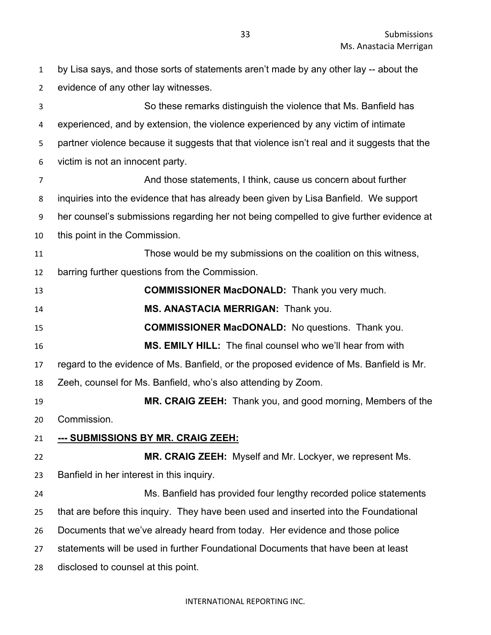by Lisa says, and those sorts of statements aren't made by any other lay -- about the evidence of any other lay witnesses.

 So these remarks distinguish the violence that Ms. Banfield has experienced, and by extension, the violence experienced by any victim of intimate partner violence because it suggests that that violence isn't real and it suggests that the victim is not an innocent party.

 And those statements, I think, cause us concern about further inquiries into the evidence that has already been given by Lisa Banfield. We support her counsel's submissions regarding her not being compelled to give further evidence at this point in the Commission.

 Those would be my submissions on the coalition on this witness, barring further questions from the Commission.

| 13 | <b>COMMISSIONER MacDONALD:</b> Thank you very much.                                     |
|----|-----------------------------------------------------------------------------------------|
| 14 | MS. ANASTACIA MERRIGAN: Thank you.                                                      |
| 15 | <b>COMMISSIONER MacDONALD:</b> No questions. Thank you.                                 |
| 16 | <b>MS. EMILY HILL:</b> The final counsel who we'll hear from with                       |
| 17 | regard to the evidence of Ms. Banfield, or the proposed evidence of Ms. Banfield is Mr. |
| 18 | Zeeh, counsel for Ms. Banfield, who's also attending by Zoom.                           |
| 19 | MR. CRAIG ZEEH: Thank you, and good morning, Members of the                             |
| 20 | Commission.                                                                             |
| 21 | --- SUBMISSIONS BY MR. CRAIG ZEEH:                                                      |
| 22 | MR. CRAIG ZEEH: Myself and Mr. Lockyer, we represent Ms.                                |
| 23 | Banfield in her interest in this inquiry.                                               |
| 24 | Ms. Banfield has provided four lengthy recorded police statements                       |
| 25 | that are before this inquiry. They have been used and inserted into the Foundational    |
| 26 | Documents that we've already heard from today. Her evidence and those police            |
| 27 | statements will be used in further Foundational Documents that have been at least       |
| 28 | disclosed to counsel at this point.                                                     |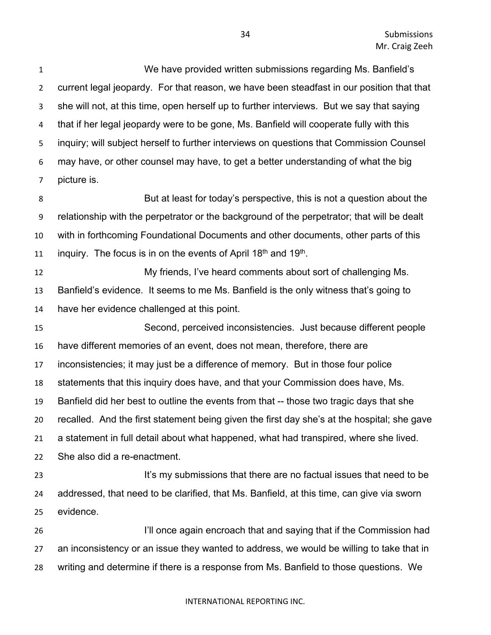We have provided written submissions regarding Ms. Banfield's current legal jeopardy. For that reason, we have been steadfast in our position that that she will not, at this time, open herself up to further interviews. But we say that saying that if her legal jeopardy were to be gone, Ms. Banfield will cooperate fully with this inquiry; will subject herself to further interviews on questions that Commission Counsel may have, or other counsel may have, to get a better understanding of what the big picture is.

 But at least for today's perspective, this is not a question about the relationship with the perpetrator or the background of the perpetrator; that will be dealt with in forthcoming Foundational Documents and other documents, other parts of this 11 inquiry. The focus is in on the events of April 18<sup>th</sup> and 19<sup>th</sup>.

 My friends, I've heard comments about sort of challenging Ms. Banfield's evidence. It seems to me Ms. Banfield is the only witness that's going to have her evidence challenged at this point.

 Second, perceived inconsistencies. Just because different people have different memories of an event, does not mean, therefore, there are inconsistencies; it may just be a difference of memory. But in those four police statements that this inquiry does have, and that your Commission does have, Ms. Banfield did her best to outline the events from that -- those two tragic days that she recalled. And the first statement being given the first day she's at the hospital; she gave a statement in full detail about what happened, what had transpired, where she lived. She also did a re-enactment. 23 It's my submissions that there are no factual issues that need to be addressed, that need to be clarified, that Ms. Banfield, at this time, can give via sworn evidence.

 I'll once again encroach that and saying that if the Commission had an inconsistency or an issue they wanted to address, we would be willing to take that in writing and determine if there is a response from Ms. Banfield to those questions. We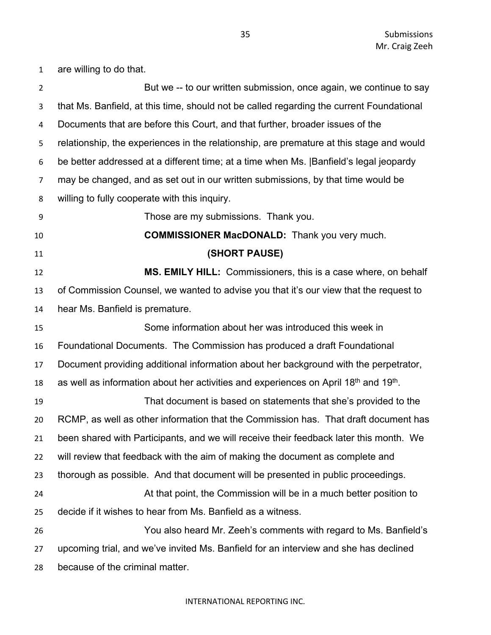**But we -- to our written submission, once again, we continue to say**  that Ms. Banfield, at this time, should not be called regarding the current Foundational Documents that are before this Court, and that further, broader issues of the relationship, the experiences in the relationship, are premature at this stage and would be better addressed at a different time; at a time when Ms. |Banfield's legal jeopardy may be changed, and as set out in our written submissions, by that time would be willing to fully cooperate with this inquiry. Those are my submissions. Thank you. **COMMISSIONER MacDONALD:** Thank you very much. **(SHORT PAUSE) MS. EMILY HILL:** Commissioners, this is a case where, on behalf of Commission Counsel, we wanted to advise you that it's our view that the request to hear Ms. Banfield is premature. Some information about her was introduced this week in Foundational Documents. The Commission has produced a draft Foundational Document providing additional information about her background with the perpetrator, 18 as well as information about her activities and experiences on April  $18<sup>th</sup>$  and  $19<sup>th</sup>$ . That document is based on statements that she's provided to the RCMP, as well as other information that the Commission has. That draft document has been shared with Participants, and we will receive their feedback later this month. We will review that feedback with the aim of making the document as complete and thorough as possible. And that document will be presented in public proceedings. At that point, the Commission will be in a much better position to decide if it wishes to hear from Ms. Banfield as a witness. You also heard Mr. Zeeh's comments with regard to Ms. Banfield's upcoming trial, and we've invited Ms. Banfield for an interview and she has declined because of the criminal matter.

#### INTERNATIONAL REPORTING INC.

are willing to do that.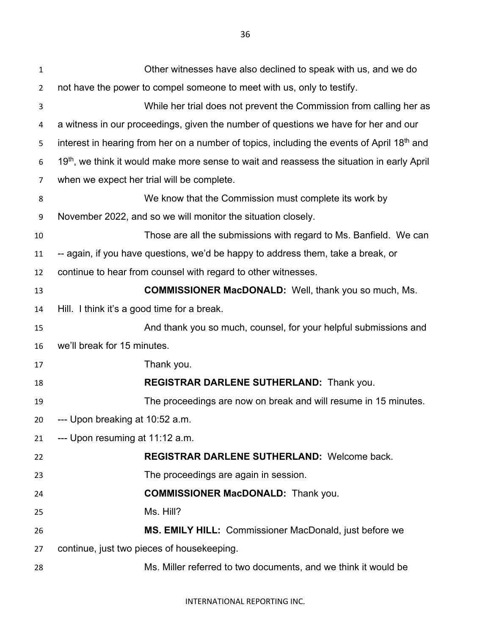| $\mathbf{1}$   | Other witnesses have also declined to speak with us, and we do                               |
|----------------|----------------------------------------------------------------------------------------------|
| $\overline{2}$ | not have the power to compel someone to meet with us, only to testify.                       |
| 3              | While her trial does not prevent the Commission from calling her as                          |
| 4              | a witness in our proceedings, given the number of questions we have for her and our          |
| 5              | interest in hearing from her on a number of topics, including the events of April 18th and   |
| 6              | $19th$ , we think it would make more sense to wait and reassess the situation in early April |
| 7              | when we expect her trial will be complete.                                                   |
| 8              | We know that the Commission must complete its work by                                        |
| 9              | November 2022, and so we will monitor the situation closely.                                 |
| 10             | Those are all the submissions with regard to Ms. Banfield. We can                            |
| 11             | -- again, if you have questions, we'd be happy to address them, take a break, or             |
| 12             | continue to hear from counsel with regard to other witnesses.                                |
| 13             | <b>COMMISSIONER MacDONALD:</b> Well, thank you so much, Ms.                                  |
| 14             | Hill. I think it's a good time for a break.                                                  |
| 15             | And thank you so much, counsel, for your helpful submissions and                             |
| 16             | we'll break for 15 minutes.                                                                  |
| 17             | Thank you.                                                                                   |
| 18             | REGISTRAR DARLENE SUTHERLAND: Thank you.                                                     |
| 19             | The proceedings are now on break and will resume in 15 minutes.                              |
| 20             | --- Upon breaking at 10:52 a.m.                                                              |
| 21             | --- Upon resuming at 11:12 a.m.                                                              |
| 22             | <b>REGISTRAR DARLENE SUTHERLAND: Welcome back.</b>                                           |
| 23             | The proceedings are again in session.                                                        |
| 24             | <b>COMMISSIONER MacDONALD:</b> Thank you.                                                    |
| 25             | Ms. Hill?                                                                                    |
| 26             | MS. EMILY HILL: Commissioner MacDonald, just before we                                       |
| 27             | continue, just two pieces of housekeeping.                                                   |
| 28             | Ms. Miller referred to two documents, and we think it would be                               |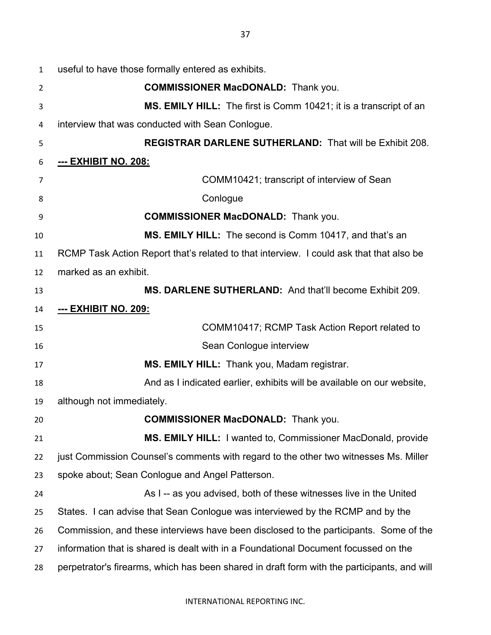| $\mathbf{1}$ | useful to have those formally entered as exhibits.                                          |
|--------------|---------------------------------------------------------------------------------------------|
| 2            | <b>COMMISSIONER MacDONALD:</b> Thank you.                                                   |
| 3            | MS. EMILY HILL: The first is Comm 10421; it is a transcript of an                           |
| 4            | interview that was conducted with Sean Conlogue.                                            |
| 5            | <b>REGISTRAR DARLENE SUTHERLAND: That will be Exhibit 208.</b>                              |
| 6            | <u>--- EXHIBIT NO. 208:</u>                                                                 |
| 7            | COMM10421; transcript of interview of Sean                                                  |
| 8            | Conlogue                                                                                    |
| 9            | <b>COMMISSIONER MacDONALD:</b> Thank you.                                                   |
| 10           | MS. EMILY HILL: The second is Comm 10417, and that's an                                     |
| 11           | RCMP Task Action Report that's related to that interview. I could ask that that also be     |
| 12           | marked as an exhibit.                                                                       |
| 13           | MS. DARLENE SUTHERLAND: And that'll become Exhibit 209.                                     |
| 14           | <u>--- EXHIBIT NO. 209:</u>                                                                 |
| 15           | COMM10417; RCMP Task Action Report related to                                               |
| 16           | Sean Conlogue interview                                                                     |
| 17           | MS. EMILY HILL: Thank you, Madam registrar.                                                 |
| 18           | And as I indicated earlier, exhibits will be available on our website,                      |
| 19           | although not immediately.                                                                   |
| 20           | <b>COMMISSIONER MacDONALD:</b> Thank you.                                                   |
| 21           | <b>MS. EMILY HILL:</b> I wanted to, Commissioner MacDonald, provide                         |
| 22           | just Commission Counsel's comments with regard to the other two witnesses Ms. Miller        |
| 23           | spoke about; Sean Conlogue and Angel Patterson.                                             |
| 24           | As I -- as you advised, both of these witnesses live in the United                          |
| 25           | States. I can advise that Sean Conlogue was interviewed by the RCMP and by the              |
| 26           | Commission, and these interviews have been disclosed to the participants. Some of the       |
| 27           | information that is shared is dealt with in a Foundational Document focussed on the         |
| 28           | perpetrator's firearms, which has been shared in draft form with the participants, and will |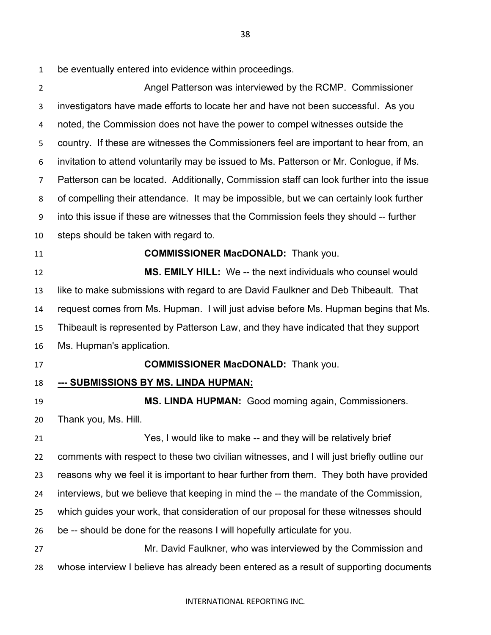be eventually entered into evidence within proceedings.

 Angel Patterson was interviewed by the RCMP. Commissioner investigators have made efforts to locate her and have not been successful. As you noted, the Commission does not have the power to compel witnesses outside the country. If these are witnesses the Commissioners feel are important to hear from, an invitation to attend voluntarily may be issued to Ms. Patterson or Mr. Conlogue, if Ms. Patterson can be located. Additionally, Commission staff can look further into the issue of compelling their attendance. It may be impossible, but we can certainly look further into this issue if these are witnesses that the Commission feels they should -- further steps should be taken with regard to. **COMMISSIONER MacDONALD:** Thank you. **MS. EMILY HILL:** We -- the next individuals who counsel would like to make submissions with regard to are David Faulkner and Deb Thibeault. That request comes from Ms. Hupman. I will just advise before Ms. Hupman begins that Ms. Thibeault is represented by Patterson Law, and they have indicated that they support Ms. Hupman's application. **COMMISSIONER MacDONALD:** Thank you. **--- SUBMISSIONS BY MS. LINDA HUPMAN: MS. LINDA HUPMAN:** Good morning again, Commissioners. Thank you, Ms. Hill. Yes, I would like to make -- and they will be relatively brief comments with respect to these two civilian witnesses, and I will just briefly outline our reasons why we feel it is important to hear further from them. They both have provided interviews, but we believe that keeping in mind the -- the mandate of the Commission, which guides your work, that consideration of our proposal for these witnesses should be -- should be done for the reasons I will hopefully articulate for you. Mr. David Faulkner, who was interviewed by the Commission and whose interview I believe has already been entered as a result of supporting documents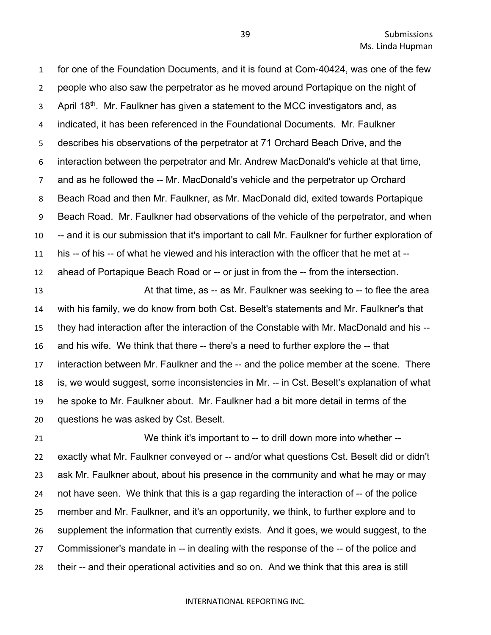for one of the Foundation Documents, and it is found at Com-40424, was one of the few people who also saw the perpetrator as he moved around Portapique on the night of 3 . April 18<sup>th</sup>. Mr. Faulkner has given a statement to the MCC investigators and, as indicated, it has been referenced in the Foundational Documents. Mr. Faulkner describes his observations of the perpetrator at 71 Orchard Beach Drive, and the interaction between the perpetrator and Mr. Andrew MacDonald's vehicle at that time, and as he followed the -- Mr. MacDonald's vehicle and the perpetrator up Orchard Beach Road and then Mr. Faulkner, as Mr. MacDonald did, exited towards Portapique Beach Road. Mr. Faulkner had observations of the vehicle of the perpetrator, and when -- and it is our submission that it's important to call Mr. Faulkner for further exploration of his -- of his -- of what he viewed and his interaction with the officer that he met at -- ahead of Portapique Beach Road or -- or just in from the -- from the intersection.

**At that time, as -- as Mr. Faulkner was seeking to -- to flee the area**  with his family, we do know from both Cst. Beselt's statements and Mr. Faulkner's that they had interaction after the interaction of the Constable with Mr. MacDonald and his -- and his wife. We think that there -- there's a need to further explore the -- that interaction between Mr. Faulkner and the -- and the police member at the scene. There is, we would suggest, some inconsistencies in Mr. -- in Cst. Beselt's explanation of what he spoke to Mr. Faulkner about. Mr. Faulkner had a bit more detail in terms of the questions he was asked by Cst. Beselt.

 We think it's important to -- to drill down more into whether -- exactly what Mr. Faulkner conveyed or -- and/or what questions Cst. Beselt did or didn't ask Mr. Faulkner about, about his presence in the community and what he may or may not have seen. We think that this is a gap regarding the interaction of -- of the police member and Mr. Faulkner, and it's an opportunity, we think, to further explore and to supplement the information that currently exists. And it goes, we would suggest, to the Commissioner's mandate in -- in dealing with the response of the -- of the police and their -- and their operational activities and so on. And we think that this area is still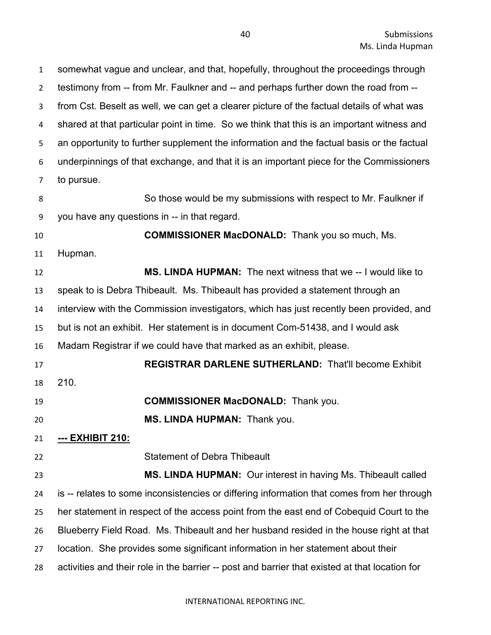somewhat vague and unclear, and that, hopefully, throughout the proceedings through testimony from -- from Mr. Faulkner and -- and perhaps further down the road from -- from Cst. Beselt as well, we can get a clearer picture of the factual details of what was shared at that particular point in time. So we think that this is an important witness and an opportunity to further supplement the information and the factual basis or the factual underpinnings of that exchange, and that it is an important piece for the Commissioners to pursue. So those would be my submissions with respect to Mr. Faulkner if you have any questions in -- in that regard. **COMMISSIONER MacDONALD:** Thank you so much, Ms. Hupman. **MS. LINDA HUPMAN:** The next witness that we -- I would like to speak to is Debra Thibeault. Ms. Thibeault has provided a statement through an interview with the Commission investigators, which has just recently been provided, and but is not an exhibit. Her statement is in document Com-51438, and I would ask Madam Registrar if we could have that marked as an exhibit, please. **REGISTRAR DARLENE SUTHERLAND:** That'll become Exhibit 210. **COMMISSIONER MacDONALD:** Thank you. **MS. LINDA HUPMAN:** Thank you. **--- EXHIBIT 210:** Statement of Debra Thibeault **MS. LINDA HUPMAN:** Our interest in having Ms. Thibeault called is -- relates to some inconsistencies or differing information that comes from her through her statement in respect of the access point from the east end of Cobequid Court to the Blueberry Field Road. Ms. Thibeault and her husband resided in the house right at that location. She provides some significant information in her statement about their activities and their role in the barrier -- post and barrier that existed at that location for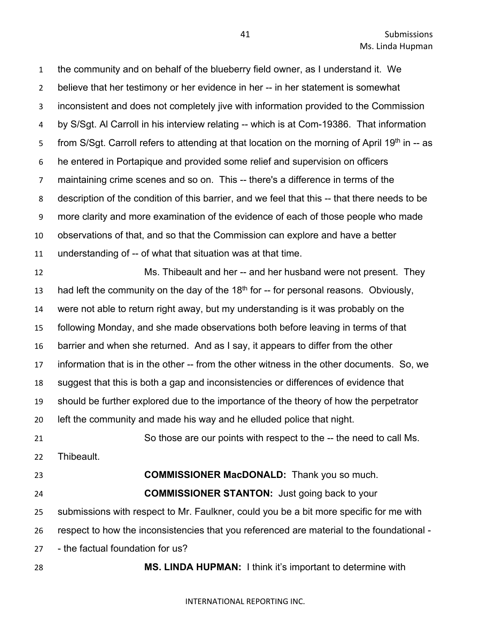the community and on behalf of the blueberry field owner, as I understand it. We believe that her testimony or her evidence in her -- in her statement is somewhat inconsistent and does not completely jive with information provided to the Commission by S/Sgt. Al Carroll in his interview relating -- which is at Com-19386. That information from S/Sgt. Carroll refers to attending at that location on the morning of April 19<sup>th</sup> in -- as he entered in Portapique and provided some relief and supervision on officers maintaining crime scenes and so on. This -- there's a difference in terms of the description of the condition of this barrier, and we feel that this -- that there needs to be more clarity and more examination of the evidence of each of those people who made observations of that, and so that the Commission can explore and have a better understanding of -- of what that situation was at that time. Ms. Thibeault and her -- and her husband were not present. They

13 had left the community on the day of the  $18<sup>th</sup>$  for  $-$  for personal reasons. Obviously, were not able to return right away, but my understanding is it was probably on the following Monday, and she made observations both before leaving in terms of that barrier and when she returned. And as I say, it appears to differ from the other information that is in the other -- from the other witness in the other documents. So, we suggest that this is both a gap and inconsistencies or differences of evidence that should be further explored due to the importance of the theory of how the perpetrator left the community and made his way and he elluded police that night.

 So those are our points with respect to the -- the need to call Ms. Thibeault.

**COMMISSIONER MacDONALD:** Thank you so much.

 **COMMISSIONER STANTON:** Just going back to your submissions with respect to Mr. Faulkner, could you be a bit more specific for me with respect to how the inconsistencies that you referenced are material to the foundational - - the factual foundation for us?

**MS. LINDA HUPMAN:** I think it's important to determine with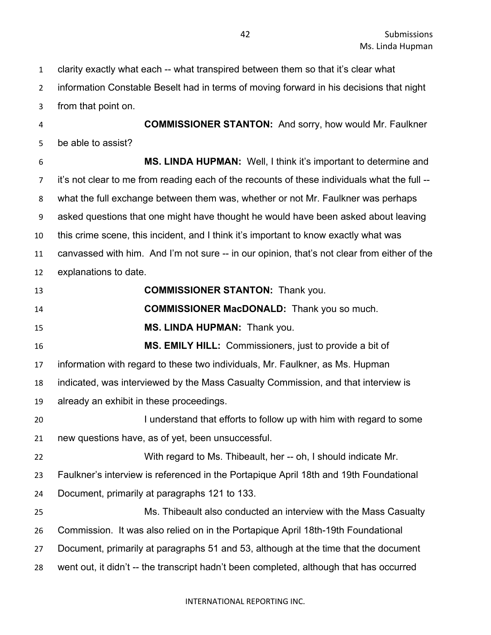clarity exactly what each -- what transpired between them so that it's clear what information Constable Beselt had in terms of moving forward in his decisions that night from that point on.

 **COMMISSIONER STANTON:** And sorry, how would Mr. Faulkner be able to assist?

 **MS. LINDA HUPMAN:** Well, I think it's important to determine and 7 it's not clear to me from reading each of the recounts of these individuals what the full -- what the full exchange between them was, whether or not Mr. Faulkner was perhaps asked questions that one might have thought he would have been asked about leaving this crime scene, this incident, and I think it's important to know exactly what was canvassed with him. And I'm not sure -- in our opinion, that's not clear from either of the explanations to date.

 **COMMISSIONER STANTON:** Thank you. **COMMISSIONER MacDONALD:** Thank you so much. **MS. LINDA HUPMAN:** Thank you. **MS. EMILY HILL:** Commissioners, just to provide a bit of information with regard to these two individuals, Mr. Faulkner, as Ms. Hupman indicated, was interviewed by the Mass Casualty Commission, and that interview is already an exhibit in these proceedings. I understand that efforts to follow up with him with regard to some new questions have, as of yet, been unsuccessful. With regard to Ms. Thibeault, her -- oh, I should indicate Mr. Faulkner's interview is referenced in the Portapique April 18th and 19th Foundational Document, primarily at paragraphs 121 to 133. Ms. Thibeault also conducted an interview with the Mass Casualty Commission. It was also relied on in the Portapique April 18th-19th Foundational Document, primarily at paragraphs 51 and 53, although at the time that the document went out, it didn't -- the transcript hadn't been completed, although that has occurred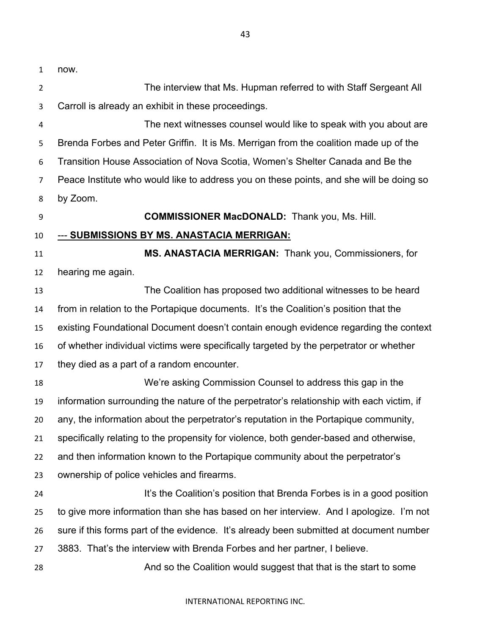now. The interview that Ms. Hupman referred to with Staff Sergeant All Carroll is already an exhibit in these proceedings. The next witnesses counsel would like to speak with you about are Brenda Forbes and Peter Griffin. It is Ms. Merrigan from the coalition made up of the Transition House Association of Nova Scotia, Women's Shelter Canada and Be the Peace Institute who would like to address you on these points, and she will be doing so by Zoom. **COMMISSIONER MacDONALD:** Thank you, Ms. Hill. --- **SUBMISSIONS BY MS. ANASTACIA MERRIGAN: MS. ANASTACIA MERRIGAN:** Thank you, Commissioners, for hearing me again.

 The Coalition has proposed two additional witnesses to be heard from in relation to the Portapique documents. It's the Coalition's position that the existing Foundational Document doesn't contain enough evidence regarding the context of whether individual victims were specifically targeted by the perpetrator or whether they died as a part of a random encounter.

 We're asking Commission Counsel to address this gap in the information surrounding the nature of the perpetrator's relationship with each victim, if any, the information about the perpetrator's reputation in the Portapique community, specifically relating to the propensity for violence, both gender-based and otherwise, and then information known to the Portapique community about the perpetrator's ownership of police vehicles and firearms. **It's the Coalition's position that Brenda Forbes is in a good position**  to give more information than she has based on her interview. And I apologize. I'm not sure if this forms part of the evidence. It's already been submitted at document number 3883. That's the interview with Brenda Forbes and her partner, I believe. And so the Coalition would suggest that that is the start to some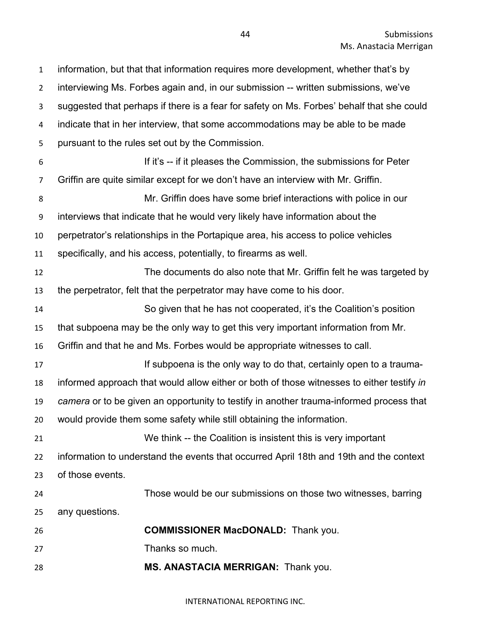information, but that that information requires more development, whether that's by interviewing Ms. Forbes again and, in our submission -- written submissions, we've suggested that perhaps if there is a fear for safety on Ms. Forbes' behalf that she could indicate that in her interview, that some accommodations may be able to be made pursuant to the rules set out by the Commission. If it's -- if it pleases the Commission, the submissions for Peter Griffin are quite similar except for we don't have an interview with Mr. Griffin. Mr. Griffin does have some brief interactions with police in our interviews that indicate that he would very likely have information about the perpetrator's relationships in the Portapique area, his access to police vehicles specifically, and his access, potentially, to firearms as well. The documents do also note that Mr. Griffin felt he was targeted by the perpetrator, felt that the perpetrator may have come to his door. So given that he has not cooperated, it's the Coalition's position that subpoena may be the only way to get this very important information from Mr. Griffin and that he and Ms. Forbes would be appropriate witnesses to call. **If subpoena is the only way to do that, certainly open to a trauma-** informed approach that would allow either or both of those witnesses to either testify *in camera* or to be given an opportunity to testify in another trauma-informed process that would provide them some safety while still obtaining the information. We think -- the Coalition is insistent this is very important information to understand the events that occurred April 18th and 19th and the context of those events. Those would be our submissions on those two witnesses, barring any questions. **COMMISSIONER MacDONALD:** Thank you. Thanks so much. **MS. ANASTACIA MERRIGAN:** Thank you.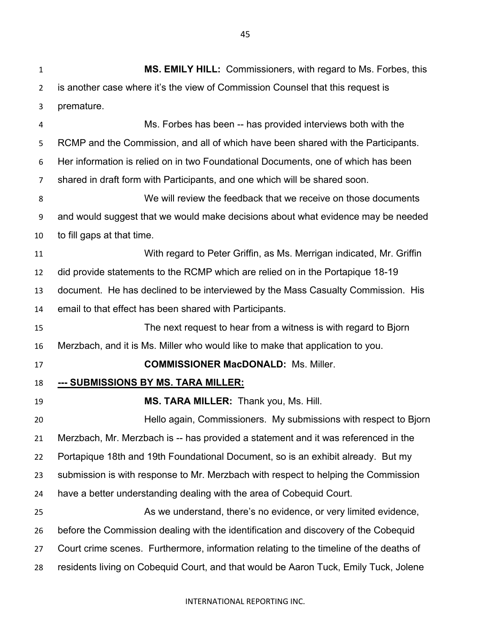**MS. EMILY HILL:** Commissioners, with regard to Ms. Forbes, this is another case where it's the view of Commission Counsel that this request is premature. Ms. Forbes has been -- has provided interviews both with the RCMP and the Commission, and all of which have been shared with the Participants. Her information is relied on in two Foundational Documents, one of which has been shared in draft form with Participants, and one which will be shared soon. We will review the feedback that we receive on those documents and would suggest that we would make decisions about what evidence may be needed to fill gaps at that time. With regard to Peter Griffin, as Ms. Merrigan indicated, Mr. Griffin did provide statements to the RCMP which are relied on in the Portapique 18-19 document. He has declined to be interviewed by the Mass Casualty Commission. His email to that effect has been shared with Participants. The next request to hear from a witness is with regard to Bjorn Merzbach, and it is Ms. Miller who would like to make that application to you. **COMMISSIONER MacDONALD:** Ms. Miller. **--- SUBMISSIONS BY MS. TARA MILLER: MS. TARA MILLER:** Thank you, Ms. Hill. Hello again, Commissioners. My submissions with respect to Bjorn Merzbach, Mr. Merzbach is -- has provided a statement and it was referenced in the Portapique 18th and 19th Foundational Document, so is an exhibit already. But my submission is with response to Mr. Merzbach with respect to helping the Commission have a better understanding dealing with the area of Cobequid Court. As we understand, there's no evidence, or very limited evidence, before the Commission dealing with the identification and discovery of the Cobequid Court crime scenes. Furthermore, information relating to the timeline of the deaths of residents living on Cobequid Court, and that would be Aaron Tuck, Emily Tuck, Jolene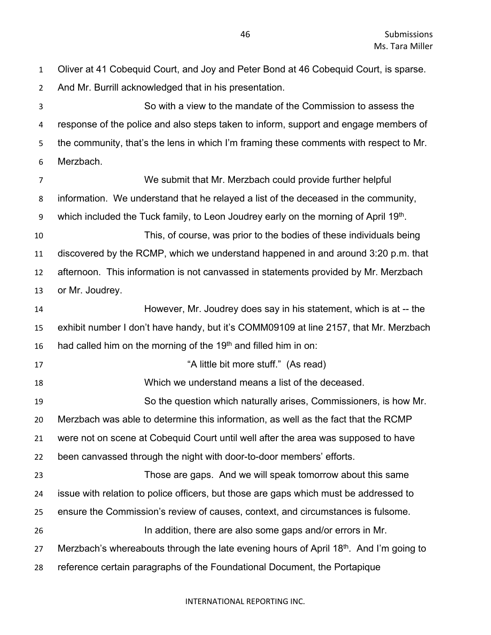Oliver at 41 Cobequid Court, and Joy and Peter Bond at 46 Cobequid Court, is sparse. And Mr. Burrill acknowledged that in his presentation.

 So with a view to the mandate of the Commission to assess the response of the police and also steps taken to inform, support and engage members of the community, that's the lens in which I'm framing these comments with respect to Mr. Merzbach.

 We submit that Mr. Merzbach could provide further helpful information. We understand that he relayed a list of the deceased in the community, 9 which included the Tuck family, to Leon Joudrey early on the morning of April  $19<sup>th</sup>$ . This, of course, was prior to the bodies of these individuals being discovered by the RCMP, which we understand happened in and around 3:20 p.m. that afternoon. This information is not canvassed in statements provided by Mr. Merzbach or Mr. Joudrey. However, Mr. Joudrey does say in his statement, which is at -- the exhibit number I don't have handy, but it's COMM09109 at line 2157, that Mr. Merzbach 16 had called him on the morning of the 19<sup>th</sup> and filled him in on: **A little bit more stuff."** (As read) Which we understand means a list of the deceased. So the question which naturally arises, Commissioners, is how Mr. Merzbach was able to determine this information, as well as the fact that the RCMP were not on scene at Cobequid Court until well after the area was supposed to have been canvassed through the night with door-to-door members' efforts. Those are gaps. And we will speak tomorrow about this same issue with relation to police officers, but those are gaps which must be addressed to ensure the Commission's review of causes, context, and circumstances is fulsome. In addition, there are also some gaps and/or errors in Mr. 27 Merzbach's whereabouts through the late evening hours of April 18<sup>th</sup>. And I'm going to reference certain paragraphs of the Foundational Document, the Portapique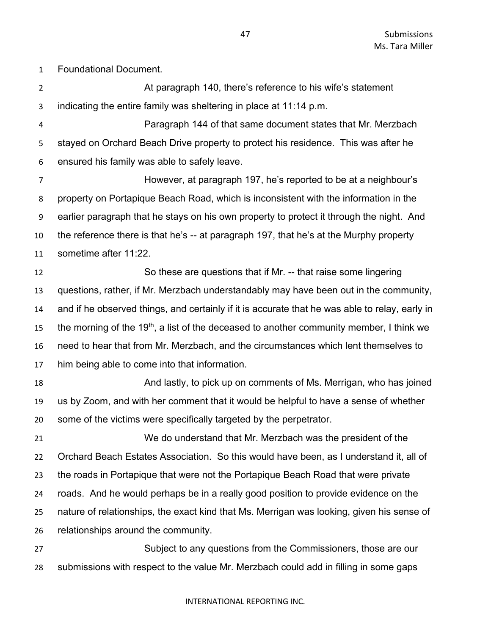Foundational Document.

 At paragraph 140, there's reference to his wife's statement indicating the entire family was sheltering in place at 11:14 p.m.

 Paragraph 144 of that same document states that Mr. Merzbach stayed on Orchard Beach Drive property to protect his residence. This was after he ensured his family was able to safely leave.

 However, at paragraph 197, he's reported to be at a neighbour's property on Portapique Beach Road, which is inconsistent with the information in the earlier paragraph that he stays on his own property to protect it through the night. And the reference there is that he's -- at paragraph 197, that he's at the Murphy property sometime after 11:22.

 So these are questions that if Mr. -- that raise some lingering questions, rather, if Mr. Merzbach understandably may have been out in the community, and if he observed things, and certainly if it is accurate that he was able to relay, early in 15 the morning of the 19<sup>th</sup>, a list of the deceased to another community member, I think we need to hear that from Mr. Merzbach, and the circumstances which lent themselves to him being able to come into that information.

18 And lastly, to pick up on comments of Ms. Merrigan, who has joined us by Zoom, and with her comment that it would be helpful to have a sense of whether some of the victims were specifically targeted by the perpetrator.

 We do understand that Mr. Merzbach was the president of the Orchard Beach Estates Association. So this would have been, as I understand it, all of the roads in Portapique that were not the Portapique Beach Road that were private roads. And he would perhaps be in a really good position to provide evidence on the nature of relationships, the exact kind that Ms. Merrigan was looking, given his sense of relationships around the community.

 Subject to any questions from the Commissioners, those are our submissions with respect to the value Mr. Merzbach could add in filling in some gaps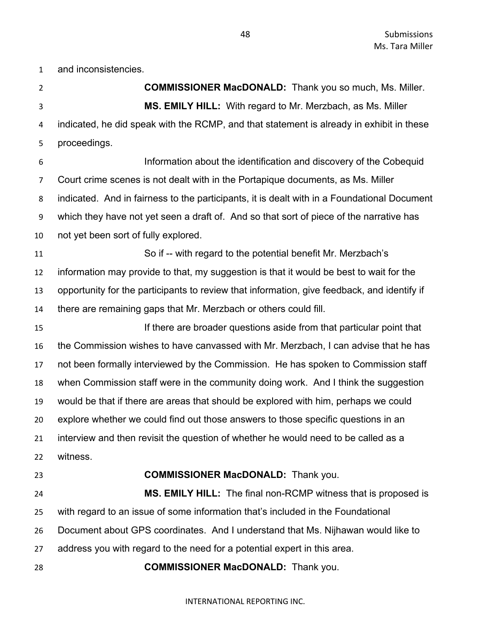and inconsistencies.

 **COMMISSIONER MacDONALD:** Thank you so much, Ms. Miller. **MS. EMILY HILL:** With regard to Mr. Merzbach, as Ms. Miller indicated, he did speak with the RCMP, and that statement is already in exhibit in these proceedings. Information about the identification and discovery of the Cobequid Court crime scenes is not dealt with in the Portapique documents, as Ms. Miller indicated. And in fairness to the participants, it is dealt with in a Foundational Document which they have not yet seen a draft of. And so that sort of piece of the narrative has not yet been sort of fully explored. So if -- with regard to the potential benefit Mr. Merzbach's information may provide to that, my suggestion is that it would be best to wait for the opportunity for the participants to review that information, give feedback, and identify if there are remaining gaps that Mr. Merzbach or others could fill. If there are broader questions aside from that particular point that the Commission wishes to have canvassed with Mr. Merzbach, I can advise that he has not been formally interviewed by the Commission. He has spoken to Commission staff when Commission staff were in the community doing work. And I think the suggestion would be that if there are areas that should be explored with him, perhaps we could explore whether we could find out those answers to those specific questions in an interview and then revisit the question of whether he would need to be called as a witness. **COMMISSIONER MacDONALD:** Thank you. **MS. EMILY HILL:** The final non-RCMP witness that is proposed is with regard to an issue of some information that's included in the Foundational Document about GPS coordinates. And I understand that Ms. Nijhawan would like to address you with regard to the need for a potential expert in this area. **COMMISSIONER MacDONALD:** Thank you.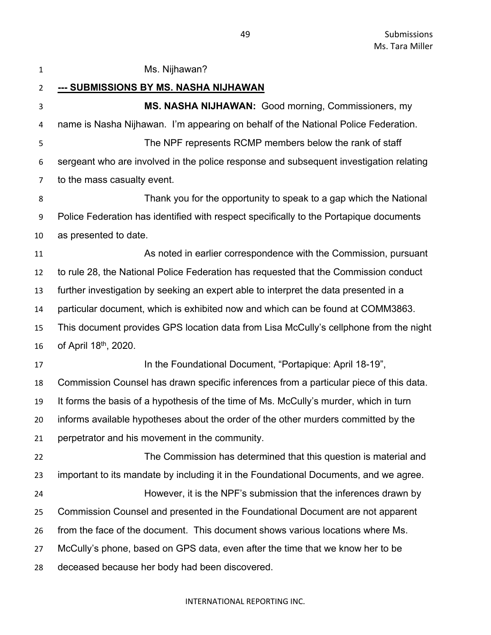| $\mathbf{1}$   | Ms. Nijhawan?                                                                          |
|----------------|----------------------------------------------------------------------------------------|
| $\overline{2}$ | <u>--- SUBMISSIONS BY MS. NASHA NIJHAWAN</u>                                           |
| 3              | MS. NASHA NIJHAWAN: Good morning, Commissioners, my                                    |
| 4              | name is Nasha Nijhawan. I'm appearing on behalf of the National Police Federation.     |
| 5              | The NPF represents RCMP members below the rank of staff                                |
| 6              | sergeant who are involved in the police response and subsequent investigation relating |
| $\overline{7}$ | to the mass casualty event.                                                            |
| 8              | Thank you for the opportunity to speak to a gap which the National                     |
| 9              | Police Federation has identified with respect specifically to the Portapique documents |
| 10             | as presented to date.                                                                  |
| 11             | As noted in earlier correspondence with the Commission, pursuant                       |
| 12             | to rule 28, the National Police Federation has requested that the Commission conduct   |
| 13             | further investigation by seeking an expert able to interpret the data presented in a   |
| 14             | particular document, which is exhibited now and which can be found at COMM3863.        |
| 15             | This document provides GPS location data from Lisa McCully's cellphone from the night  |
| 16             | of April 18 <sup>th</sup> , 2020.                                                      |
| 17             | In the Foundational Document, "Portapique: April 18-19",                               |
| 18             | Commission Counsel has drawn specific inferences from a particular piece of this data. |
| 19             | It forms the basis of a hypothesis of the time of Ms. McCully's murder, which in turn  |
| 20             | informs available hypotheses about the order of the other murders committed by the     |
| 21             | perpetrator and his movement in the community.                                         |
| 22             | The Commission has determined that this question is material and                       |
| 23             | important to its mandate by including it in the Foundational Documents, and we agree.  |
| 24             | However, it is the NPF's submission that the inferences drawn by                       |
| 25             | Commission Counsel and presented in the Foundational Document are not apparent         |
| 26             | from the face of the document. This document shows various locations where Ms.         |
| 27             | McCully's phone, based on GPS data, even after the time that we know her to be         |
| 28             | deceased because her body had been discovered.                                         |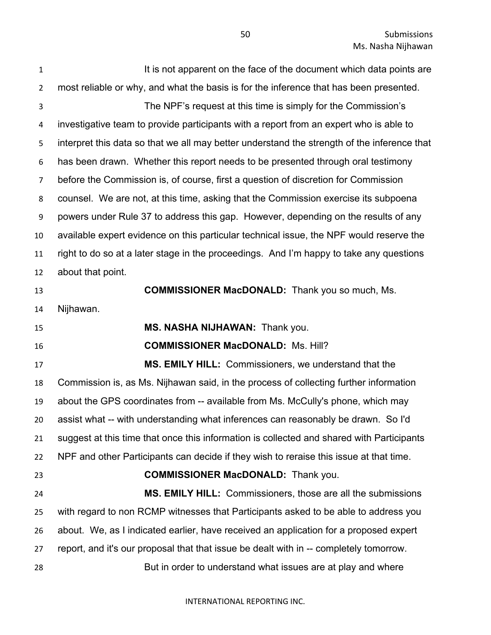**It is not apparent on the face of the document which data points are**  most reliable or why, and what the basis is for the inference that has been presented. The NPF's request at this time is simply for the Commission's investigative team to provide participants with a report from an expert who is able to interpret this data so that we all may better understand the strength of the inference that has been drawn. Whether this report needs to be presented through oral testimony before the Commission is, of course, first a question of discretion for Commission counsel. We are not, at this time, asking that the Commission exercise its subpoena powers under Rule 37 to address this gap. However, depending on the results of any available expert evidence on this particular technical issue, the NPF would reserve the right to do so at a later stage in the proceedings. And I'm happy to take any questions about that point. **COMMISSIONER MacDONALD:** Thank you so much, Ms. Nijhawan. **MS. NASHA NIJHAWAN:** Thank you. **COMMISSIONER MacDONALD:** Ms. Hill? **MS. EMILY HILL:** Commissioners, we understand that the Commission is, as Ms. Nijhawan said, in the process of collecting further information about the GPS coordinates from -- available from Ms. McCully's phone, which may assist what -- with understanding what inferences can reasonably be drawn. So I'd suggest at this time that once this information is collected and shared with Participants NPF and other Participants can decide if they wish to reraise this issue at that time. **COMMISSIONER MacDONALD:** Thank you. **MS. EMILY HILL:** Commissioners, those are all the submissions with regard to non RCMP witnesses that Participants asked to be able to address you about. We, as I indicated earlier, have received an application for a proposed expert report, and it's our proposal that that issue be dealt with in -- completely tomorrow. But in order to understand what issues are at play and where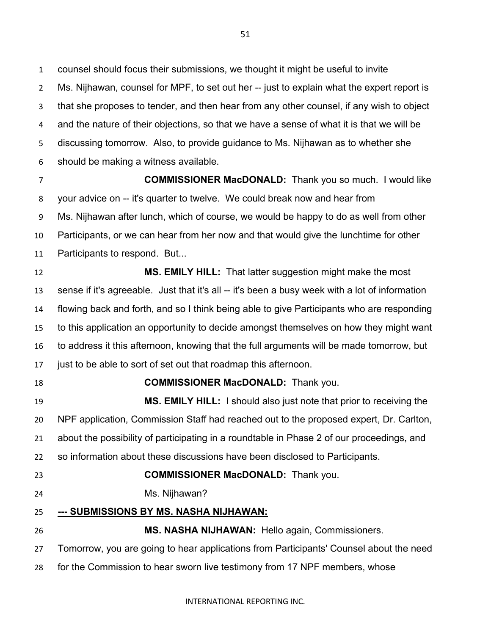counsel should focus their submissions, we thought it might be useful to invite Ms. Nijhawan, counsel for MPF, to set out her -- just to explain what the expert report is that she proposes to tender, and then hear from any other counsel, if any wish to object and the nature of their objections, so that we have a sense of what it is that we will be discussing tomorrow. Also, to provide guidance to Ms. Nijhawan as to whether she should be making a witness available.

 **COMMISSIONER MacDONALD:** Thank you so much. I would like your advice on -- it's quarter to twelve. We could break now and hear from Ms. Nijhawan after lunch, which of course, we would be happy to do as well from other Participants, or we can hear from her now and that would give the lunchtime for other Participants to respond. But...

 **MS. EMILY HILL:** That latter suggestion might make the most sense if it's agreeable. Just that it's all -- it's been a busy week with a lot of information flowing back and forth, and so I think being able to give Participants who are responding to this application an opportunity to decide amongst themselves on how they might want to address it this afternoon, knowing that the full arguments will be made tomorrow, but just to be able to sort of set out that roadmap this afternoon.

### **COMMISSIONER MacDONALD:** Thank you.

 **MS. EMILY HILL:** I should also just note that prior to receiving the NPF application, Commission Staff had reached out to the proposed expert, Dr. Carlton, about the possibility of participating in a roundtable in Phase 2 of our proceedings, and so information about these discussions have been disclosed to Participants.

## **COMMISSIONER MacDONALD:** Thank you.

Ms. Nijhawan?

### **--- SUBMISSIONS BY MS. NASHA NIJHAWAN:**

**MS. NASHA NIJHAWAN:** Hello again, Commissioners.

Tomorrow, you are going to hear applications from Participants' Counsel about the need

for the Commission to hear sworn live testimony from 17 NPF members, whose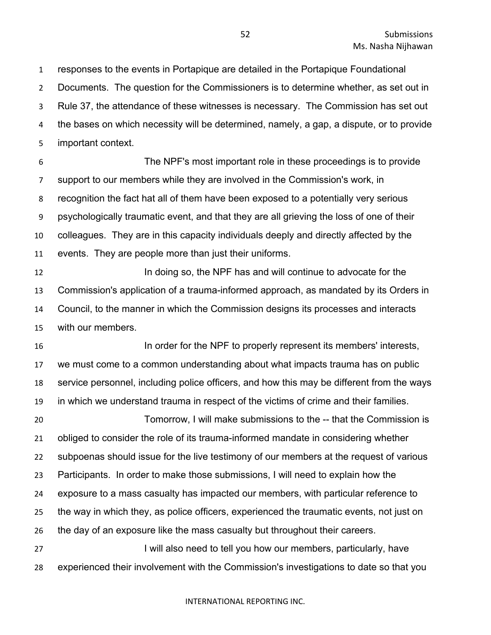responses to the events in Portapique are detailed in the Portapique Foundational Documents. The question for the Commissioners is to determine whether, as set out in Rule 37, the attendance of these witnesses is necessary. The Commission has set out the bases on which necessity will be determined, namely, a gap, a dispute, or to provide important context.

 The NPF's most important role in these proceedings is to provide support to our members while they are involved in the Commission's work, in recognition the fact hat all of them have been exposed to a potentially very serious psychologically traumatic event, and that they are all grieving the loss of one of their colleagues. They are in this capacity individuals deeply and directly affected by the events. They are people more than just their uniforms.

 In doing so, the NPF has and will continue to advocate for the Commission's application of a trauma-informed approach, as mandated by its Orders in Council, to the manner in which the Commission designs its processes and interacts with our members.

**In order for the NPF to properly represent its members' interests,**  we must come to a common understanding about what impacts trauma has on public service personnel, including police officers, and how this may be different from the ways in which we understand trauma in respect of the victims of crime and their families.

 Tomorrow, I will make submissions to the -- that the Commission is obliged to consider the role of its trauma-informed mandate in considering whether subpoenas should issue for the live testimony of our members at the request of various Participants. In order to make those submissions, I will need to explain how the exposure to a mass casualty has impacted our members, with particular reference to the way in which they, as police officers, experienced the traumatic events, not just on the day of an exposure like the mass casualty but throughout their careers. 27 I will also need to tell you how our members, particularly, have

experienced their involvement with the Commission's investigations to date so that you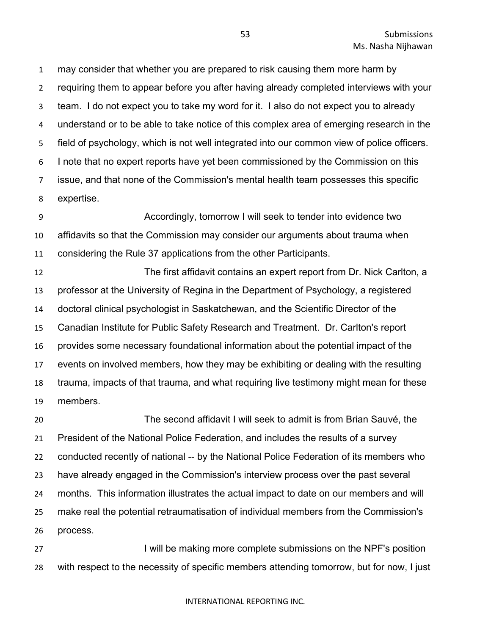may consider that whether you are prepared to risk causing them more harm by requiring them to appear before you after having already completed interviews with your team. I do not expect you to take my word for it. I also do not expect you to already understand or to be able to take notice of this complex area of emerging research in the field of psychology, which is not well integrated into our common view of police officers. I note that no expert reports have yet been commissioned by the Commission on this issue, and that none of the Commission's mental health team possesses this specific expertise.

 Accordingly, tomorrow I will seek to tender into evidence two affidavits so that the Commission may consider our arguments about trauma when considering the Rule 37 applications from the other Participants.

 The first affidavit contains an expert report from Dr. Nick Carlton, a professor at the University of Regina in the Department of Psychology, a registered doctoral clinical psychologist in Saskatchewan, and the Scientific Director of the Canadian Institute for Public Safety Research and Treatment. Dr. Carlton's report provides some necessary foundational information about the potential impact of the events on involved members, how they may be exhibiting or dealing with the resulting trauma, impacts of that trauma, and what requiring live testimony might mean for these members.

 The second affidavit I will seek to admit is from Brian Sauvé, the President of the National Police Federation, and includes the results of a survey conducted recently of national -- by the National Police Federation of its members who have already engaged in the Commission's interview process over the past several months. This information illustrates the actual impact to date on our members and will make real the potential retraumatisation of individual members from the Commission's process.

27 I will be making more complete submissions on the NPF's position with respect to the necessity of specific members attending tomorrow, but for now, I just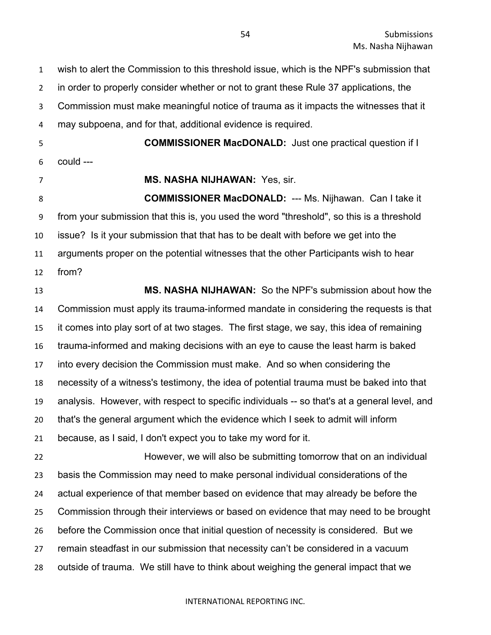wish to alert the Commission to this threshold issue, which is the NPF's submission that in order to properly consider whether or not to grant these Rule 37 applications, the Commission must make meaningful notice of trauma as it impacts the witnesses that it may subpoena, and for that, additional evidence is required.

could ---

**COMMISSIONER MacDONALD:** Just one practical question if I

### **MS. NASHA NIJHAWAN:** Yes, sir.

 **COMMISSIONER MacDONALD:** --- Ms. Nijhawan. Can I take it from your submission that this is, you used the word "threshold", so this is a threshold issue? Is it your submission that that has to be dealt with before we get into the arguments proper on the potential witnesses that the other Participants wish to hear from?

 **MS. NASHA NIJHAWAN:** So the NPF's submission about how the Commission must apply its trauma-informed mandate in considering the requests is that it comes into play sort of at two stages. The first stage, we say, this idea of remaining trauma-informed and making decisions with an eye to cause the least harm is baked into every decision the Commission must make. And so when considering the necessity of a witness's testimony, the idea of potential trauma must be baked into that analysis. However, with respect to specific individuals -- so that's at a general level, and that's the general argument which the evidence which I seek to admit will inform because, as I said, I don't expect you to take my word for it. However, we will also be submitting tomorrow that on an individual basis the Commission may need to make personal individual considerations of the actual experience of that member based on evidence that may already be before the

Commission through their interviews or based on evidence that may need to be brought

before the Commission once that initial question of necessity is considered. But we

- remain steadfast in our submission that necessity can't be considered in a vacuum
- outside of trauma. We still have to think about weighing the general impact that we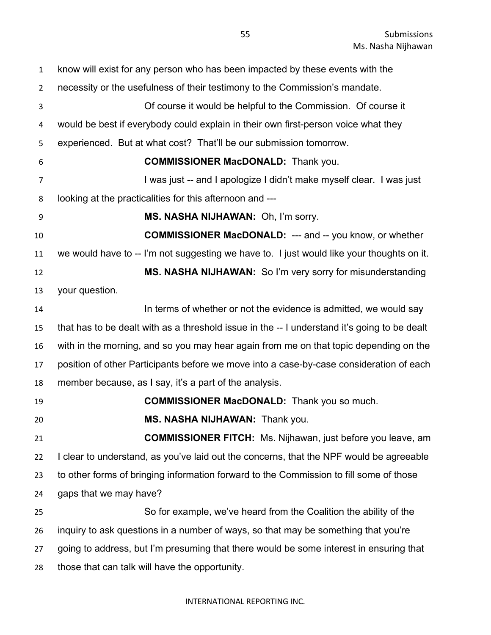| $\mathbf{1}$   | know will exist for any person who has been impacted by these events with the                |
|----------------|----------------------------------------------------------------------------------------------|
| $\overline{2}$ | necessity or the usefulness of their testimony to the Commission's mandate.                  |
| 3              | Of course it would be helpful to the Commission. Of course it                                |
| 4              | would be best if everybody could explain in their own first-person voice what they           |
| 5              | experienced. But at what cost? That'll be our submission tomorrow.                           |
| 6              | <b>COMMISSIONER MacDONALD:</b> Thank you.                                                    |
| 7              | I was just -- and I apologize I didn't make myself clear. I was just                         |
| 8              | looking at the practicalities for this afternoon and ---                                     |
| 9              | MS. NASHA NIJHAWAN: Oh, I'm sorry.                                                           |
| 10             | <b>COMMISSIONER MacDONALD:</b> --- and -- you know, or whether                               |
| 11             | we would have to -- I'm not suggesting we have to. I just would like your thoughts on it.    |
| 12             | MS. NASHA NIJHAWAN: So I'm very sorry for misunderstanding                                   |
| 13             | your question.                                                                               |
| 14             | In terms of whether or not the evidence is admitted, we would say                            |
| 15             | that has to be dealt with as a threshold issue in the -- I understand it's going to be dealt |
| 16             | with in the morning, and so you may hear again from me on that topic depending on the        |
| 17             | position of other Participants before we move into a case-by-case consideration of each      |
| 18             | member because, as I say, it's a part of the analysis.                                       |
| 19             | <b>COMMISSIONER MacDONALD:</b> Thank you so much.                                            |
| 20             | MS. NASHA NIJHAWAN: Thank you.                                                               |
| 21             | <b>COMMISSIONER FITCH:</b> Ms. Nijhawan, just before you leave, am                           |
| 22             | I clear to understand, as you've laid out the concerns, that the NPF would be agreeable      |
| 23             | to other forms of bringing information forward to the Commission to fill some of those       |
| 24             | gaps that we may have?                                                                       |
| 25             | So for example, we've heard from the Coalition the ability of the                            |
| 26             | inquiry to ask questions in a number of ways, so that may be something that you're           |
| 27             | going to address, but I'm presuming that there would be some interest in ensuring that       |
| 28             | those that can talk will have the opportunity.                                               |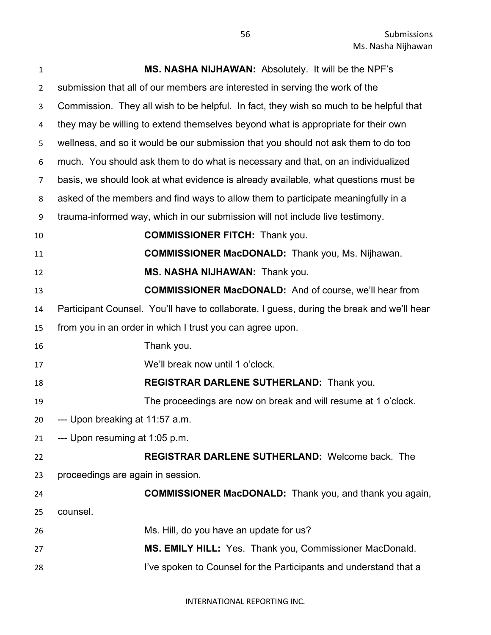| $\mathbf{1}$   | MS. NASHA NIJHAWAN: Absolutely. It will be the NPF's                                      |
|----------------|-------------------------------------------------------------------------------------------|
| $\overline{2}$ | submission that all of our members are interested in serving the work of the              |
| 3              | Commission. They all wish to be helpful. In fact, they wish so much to be helpful that    |
| 4              | they may be willing to extend themselves beyond what is appropriate for their own         |
| 5              | wellness, and so it would be our submission that you should not ask them to do too        |
| 6              | much. You should ask them to do what is necessary and that, on an individualized          |
| $\overline{7}$ | basis, we should look at what evidence is already available, what questions must be       |
| 8              | asked of the members and find ways to allow them to participate meaningfully in a         |
| 9              | trauma-informed way, which in our submission will not include live testimony.             |
| 10             | <b>COMMISSIONER FITCH: Thank you.</b>                                                     |
| 11             | <b>COMMISSIONER MacDONALD:</b> Thank you, Ms. Nijhawan.                                   |
| 12             | MS. NASHA NIJHAWAN: Thank you.                                                            |
| 13             | <b>COMMISSIONER MacDONALD:</b> And of course, we'll hear from                             |
| 14             | Participant Counsel. You'll have to collaborate, I guess, during the break and we'll hear |
| 15             | from you in an order in which I trust you can agree upon.                                 |
| 16             | Thank you.                                                                                |
| 17             | We'll break now until 1 o'clock.                                                          |
| 18             | REGISTRAR DARLENE SUTHERLAND: Thank you.                                                  |
| 19             | The proceedings are now on break and will resume at 1 o'clock.                            |
| 20             | --- Upon breaking at 11:57 a.m.                                                           |
| 21             | --- Upon resuming at 1:05 p.m.                                                            |
| 22             | REGISTRAR DARLENE SUTHERLAND: Welcome back. The                                           |
| 23             | proceedings are again in session.                                                         |
| 24             | <b>COMMISSIONER MacDONALD:</b> Thank you, and thank you again,                            |
| 25             | counsel.                                                                                  |
| 26             | Ms. Hill, do you have an update for us?                                                   |
| 27             | <b>MS. EMILY HILL: Yes. Thank you, Commissioner MacDonald.</b>                            |
| 28             | I've spoken to Counsel for the Participants and understand that a                         |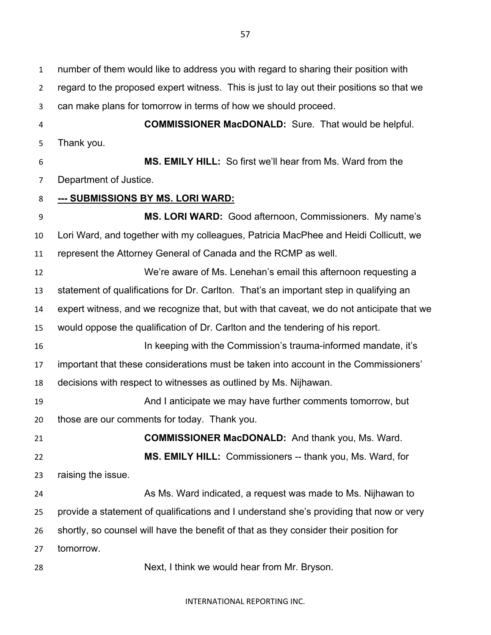number of them would like to address you with regard to sharing their position with regard to the proposed expert witness. This is just to lay out their positions so that we can make plans for tomorrow in terms of how we should proceed. **COMMISSIONER MacDONALD:** Sure. That would be helpful. Thank you. **MS. EMILY HILL:** So first we'll hear from Ms. Ward from the Department of Justice. **--- SUBMISSIONS BY MS. LORI WARD: MS. LORI WARD:** Good afternoon, Commissioners. My name's

 Lori Ward, and together with my colleagues, Patricia MacPhee and Heidi Collicutt, we represent the Attorney General of Canada and the RCMP as well.

 We're aware of Ms. Lenehan's email this afternoon requesting a statement of qualifications for Dr. Carlton. That's an important step in qualifying an expert witness, and we recognize that, but with that caveat, we do not anticipate that we would oppose the qualification of Dr. Carlton and the tendering of his report. In keeping with the Commission's trauma-informed mandate, it's important that these considerations must be taken into account in the Commissioners'

decisions with respect to witnesses as outlined by Ms. Nijhawan.

 And I anticipate we may have further comments tomorrow, but those are our comments for today. Thank you.

 **COMMISSIONER MacDONALD:** And thank you, Ms. Ward. **MS. EMILY HILL:** Commissioners -- thank you, Ms. Ward, for raising the issue.

24 As Ms. Ward indicated, a request was made to Ms. Nijhawan to provide a statement of qualifications and I understand she's providing that now or very shortly, so counsel will have the benefit of that as they consider their position for tomorrow.

Next, I think we would hear from Mr. Bryson.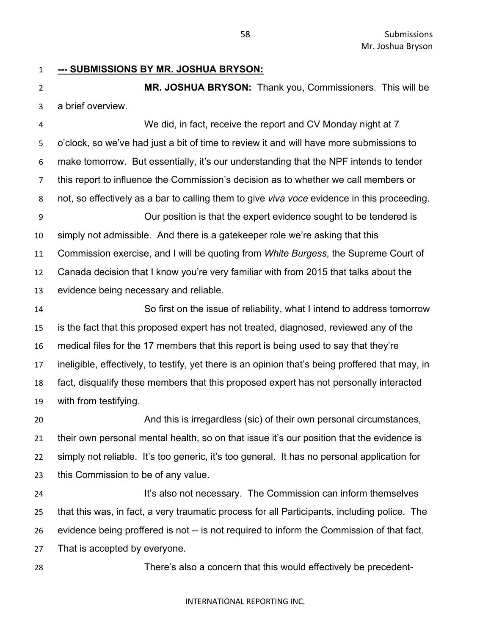**--- SUBMISSIONS BY MR. JOSHUA BRYSON:**

 **MR. JOSHUA BRYSON:** Thank you, Commissioners. This will be a brief overview.

 We did, in fact, receive the report and CV Monday night at 7 o'clock, so we've had just a bit of time to review it and will have more submissions to make tomorrow. But essentially, it's our understanding that the NPF intends to tender this report to influence the Commission's decision as to whether we call members or not, so effectively as a bar to calling them to give *viva voce* evidence in this proceeding. Our position is that the expert evidence sought to be tendered is simply not admissible. And there is a gatekeeper role we're asking that this Commission exercise, and I will be quoting from *White Burgess*, the Supreme Court of Canada decision that I know you're very familiar with from 2015 that talks about the evidence being necessary and reliable. So first on the issue of reliability, what I intend to address tomorrow

 is the fact that this proposed expert has not treated, diagnosed, reviewed any of the medical files for the 17 members that this report is being used to say that they're ineligible, effectively, to testify, yet there is an opinion that's being proffered that may, in fact, disqualify these members that this proposed expert has not personally interacted with from testifying.

 And this is irregardless (sic) of their own personal circumstances, their own personal mental health, so on that issue it's our position that the evidence is simply not reliable. It's too generic, it's too general. It has no personal application for this Commission to be of any value.

**It's also not necessary.** The Commission can inform themselves that this was, in fact, a very traumatic process for all Participants, including police. The evidence being proffered is not -- is not required to inform the Commission of that fact. That is accepted by everyone.

There's also a concern that this would effectively be precedent-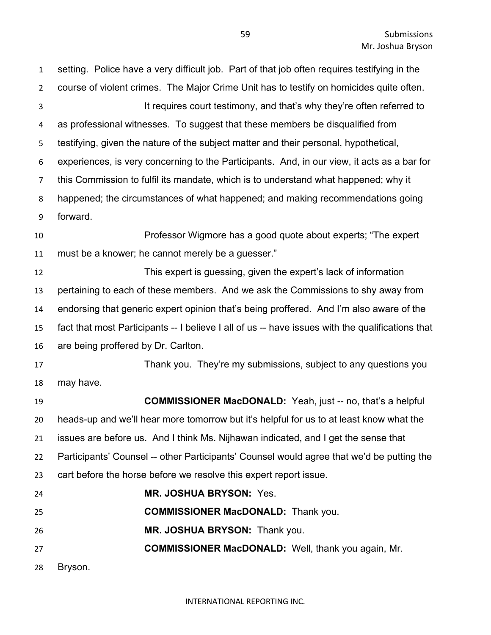setting. Police have a very difficult job. Part of that job often requires testifying in the course of violent crimes. The Major Crime Unit has to testify on homicides quite often. 3 It requires court testimony, and that's why they're often referred to as professional witnesses. To suggest that these members be disqualified from testifying, given the nature of the subject matter and their personal, hypothetical, experiences, is very concerning to the Participants. And, in our view, it acts as a bar for this Commission to fulfil its mandate, which is to understand what happened; why it happened; the circumstances of what happened; and making recommendations going forward. Professor Wigmore has a good quote about experts; "The expert must be a knower; he cannot merely be a guesser." This expert is guessing, given the expert's lack of information pertaining to each of these members. And we ask the Commissions to shy away from endorsing that generic expert opinion that's being proffered. And I'm also aware of the fact that most Participants -- I believe I all of us -- have issues with the qualifications that are being proffered by Dr. Carlton. Thank you. They're my submissions, subject to any questions you may have. **COMMISSIONER MacDONALD:** Yeah, just -- no, that's a helpful heads-up and we'll hear more tomorrow but it's helpful for us to at least know what the issues are before us. And I think Ms. Nijhawan indicated, and I get the sense that Participants' Counsel -- other Participants' Counsel would agree that we'd be putting the cart before the horse before we resolve this expert report issue. **MR. JOSHUA BRYSON:** Yes. **COMMISSIONER MacDONALD:** Thank you. **MR. JOSHUA BRYSON:** Thank you. **COMMISSIONER MacDONALD:** Well, thank you again, Mr. Bryson.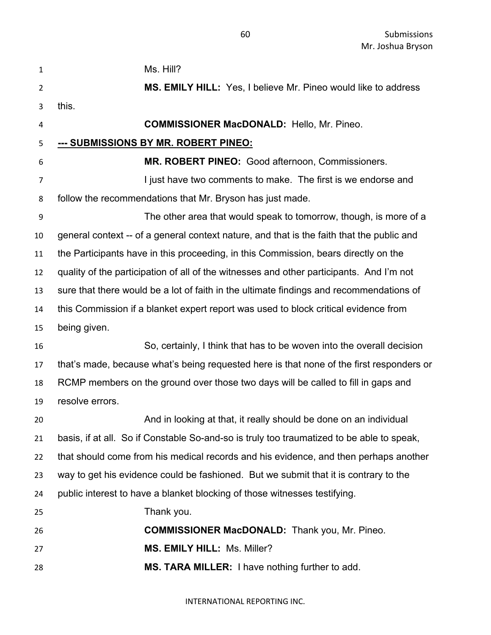| 1              | Ms. Hill?                                                                                 |
|----------------|-------------------------------------------------------------------------------------------|
| $\overline{2}$ | MS. EMILY HILL: Yes, I believe Mr. Pineo would like to address                            |
| 3              | this.                                                                                     |
| 4              | <b>COMMISSIONER MacDONALD:</b> Hello, Mr. Pineo.                                          |
| 5              | <u>--- SUBMISSIONS BY MR. ROBERT PINEO:</u>                                               |
| 6              | MR. ROBERT PINEO: Good afternoon, Commissioners.                                          |
| 7              | I just have two comments to make. The first is we endorse and                             |
| 8              | follow the recommendations that Mr. Bryson has just made.                                 |
| 9              | The other area that would speak to tomorrow, though, is more of a                         |
| 10             | general context -- of a general context nature, and that is the faith that the public and |
| 11             | the Participants have in this proceeding, in this Commission, bears directly on the       |
| 12             | quality of the participation of all of the witnesses and other participants. And I'm not  |
| 13             | sure that there would be a lot of faith in the ultimate findings and recommendations of   |
| 14             | this Commission if a blanket expert report was used to block critical evidence from       |
| 15             | being given.                                                                              |
| 16             | So, certainly, I think that has to be woven into the overall decision                     |
| 17             | that's made, because what's being requested here is that none of the first responders or  |
| 18             | RCMP members on the ground over those two days will be called to fill in gaps and         |
| 19             | resolve errors.                                                                           |
| 20             | And in looking at that, it really should be done on an individual                         |
| 21             | basis, if at all. So if Constable So-and-so is truly too traumatized to be able to speak, |
| 22             | that should come from his medical records and his evidence, and then perhaps another      |
| 23             | way to get his evidence could be fashioned. But we submit that it is contrary to the      |
| 24             | public interest to have a blanket blocking of those witnesses testifying.                 |
| 25             | Thank you.                                                                                |
| 26             | <b>COMMISSIONER MacDONALD:</b> Thank you, Mr. Pineo.                                      |
| 27             | MS. EMILY HILL: Ms. Miller?                                                               |
| 28             | MS. TARA MILLER: I have nothing further to add.                                           |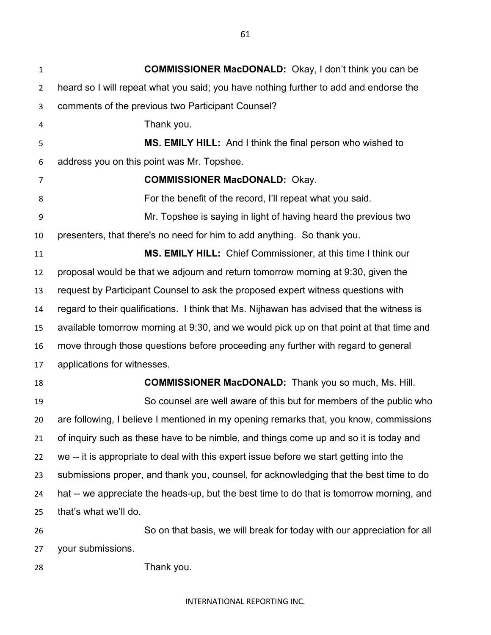**COMMISSIONER MacDONALD:** Okay, I don't think you can be heard so I will repeat what you said; you have nothing further to add and endorse the comments of the previous two Participant Counsel? Thank you. **MS. EMILY HILL:** And I think the final person who wished to address you on this point was Mr. Topshee. **COMMISSIONER MacDONALD:** Okay. For the benefit of the record, I'll repeat what you said. Mr. Topshee is saying in light of having heard the previous two presenters, that there's no need for him to add anything. So thank you. **MS. EMILY HILL:** Chief Commissioner, at this time I think our proposal would be that we adjourn and return tomorrow morning at 9:30, given the request by Participant Counsel to ask the proposed expert witness questions with regard to their qualifications. I think that Ms. Nijhawan has advised that the witness is available tomorrow morning at 9:30, and we would pick up on that point at that time and move through those questions before proceeding any further with regard to general applications for witnesses. **COMMISSIONER MacDONALD:** Thank you so much, Ms. Hill. So counsel are well aware of this but for members of the public who are following, I believe I mentioned in my opening remarks that, you know, commissions of inquiry such as these have to be nimble, and things come up and so it is today and

 we -- it is appropriate to deal with this expert issue before we start getting into the submissions proper, and thank you, counsel, for acknowledging that the best time to do hat -- we appreciate the heads-up, but the best time to do that is tomorrow morning, and that's what we'll do.

 So on that basis, we will break for today with our appreciation for all your submissions.

Thank you.